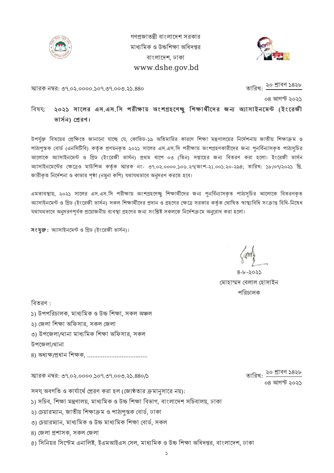

গণপ্রজাতন্ত্রী বাংলাদেশ সরকার মাধ্যমিক ও উচ্চশিক্ষা অধিদপ্তর বাংলােদশ, ঢাকা www.dshe.gov.bd



স্মারক নম্বর: ৩৭.০২.০০০০.১০৭.৩৭.০০৩.২১.৪৪০

তারিখ: ২০ শ্রাবণ ১৪২৮

০৪ আগস্ট ২০২১

বিষয়: ২০২১ সালের এস.এস.সি পরীক্ষায় অংশগ্রহণেছু শিক্ষার্থীদের জন্য অ্যাসাইনমেন্ট (ইংরেজী ভাৰ্সন) প্ৰেরণ।

উপর্যুক্ত বিষয়ের প্রেক্ষিতে জানানাে যাচ্ছে যে, কোভিড-১৯ অতিমারির কারণে শিক্ষা মন্ত্রণালয়ের নির্দেশনায় জাতীয় শিক্ষাক্রম ও পাঠ্যপুস্তক বোর্ড (এনসিটিবি) কর্তৃক প্রণয়নকৃত ২০২১ সালের এস.এস.সি পরীক্ষায় অংশগ্রহণকারীদের জন্য পুনর্বিন্যাসকৃত পাঠ্যসুচির আলােকে অ্যাসাইনমেন্ট ও গ্রিড (ইংরেজী ভার্সন) প্রথম ধাপে ০৩ (তিন) সপ্তাহের জন্য বিতরণ করা হলাে। ইংরেজী ভার্সন অ্যাসাইনমেন্টের ক্ষেত্রেও মাউশিঅ কর্তৃক স্মারক নং- ৩৭.০২.০০০০.১০৬.২৭(অংশ-২).০০১.২০-২৯৪; তারিখ: ১৮/০৭/২০২১ খ্রি. জারীকৃত নির্দেশনা ও কাভার পৃষ্ঠা (নমুনা কপি) যথাযথভাবে অনুসরণ করতে হবে।

এমতাবস্থায়, ২০২১ সালের এস.এস.সি পরীক্ষায় অংশগ্রহণেচ্ছু শিক্ষার্থীদের জন্য পুনর্বিন্যাসকৃত পাঠ্যসচির আলােকে বিতরণকৃত অ্যাসাইনমেন্ট ও গ্রিড (ইংরেজী ভার্সন) সকল শিক্ষার্থীদের প্রদান ও গ্রহণের ক্ষেত্রে সরকার কর্তৃক ঘোষিত স্বাস্থ্যবিধি সংক্রান্ত বিধি-নিষেধ যথাযথভাবে অনুসরণপূর্বক প্রয়োজনীয় ব্যবস্থা গ্রহণের জন্য সংশ্লিষ্ট সকলকে নির্দেশক্রমে অনুরোধ করা হলো।

সংযুক্ত: অ্যাসাইনমেন্ট ও গ্রিড (ইংরেজী ভার্সন)।

৪-৮-২০২১ মোহাম্মদ বেলাল হোসাইন পিরচালক

িবতরণ :

- ১) উপপরিচালক, মাধ্যমিক ও উচ্চ শিক্ষা, সকল অঞ্চল
- ২) জেলা শিক্ষা অফিসার, সকল জেলা
- ৩) উপজেলা/থানা মাধ্যমিক শিক্ষা অফিসার, সকল
- উপেজলা/থানা
- 8) অধ্যক্ষ/প্ৰধান শিক্ষক, ..........................

স্মারক নম্বর: ৩৭.০২.০০০০.১০৭.৩৭.০০৩.২১.৪৪০/১

সদয্ অবগতি ও কার্যার্থে প্রেরণ করা হল (জ্যেষ্ঠতার ক্রমানসারে নয়):

- ১) সচিব, শিক্ষা মন্ত্ৰণালয়, মাধ্যমিক ও উচ্চ শিক্ষা বিভাগ, বাংলাদেশ সচিবালয়, ঢাকা
- ২) চেয়ারম্যান, জাতীয় শিক্ষাক্রম ও পাঠ্যপুস্তক বোর্ড, ঢাকা
- ৩) চেয়ারম্যান, মাধ্যমিক ও উচ্চ মাধ্যমিক শিক্ষা বোর্ড, সকল
- ৪) জেলা প্ৰশাসক, সকল জেলা
- ৫) সিনিয়র সিস্টেম এনালিষ্ট, ইএমআইএস সেল, মাধ্যমিক ও উচ্চ শিক্ষা অধিদপ্তর, বাংলাদেশ, ঢাকা

তারিখ: <sup>২০ শ্রাবণ ১৪২৮</sup> ০৪ আগস্ট ১০২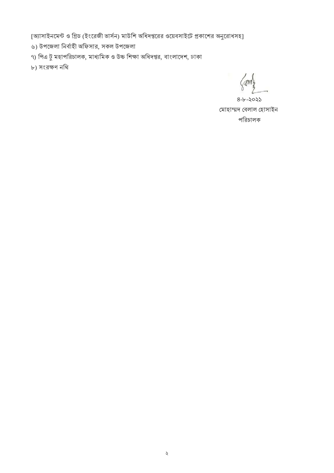[অ্যাসাইনমেন্ট ও গ্রিড (ইংরেজী ভার্সন) মাউশি অধিদপ্তরের ওয়েবসাইটে প্রকাশের অনুরোধসহ]

- ৬) উপজেলা নির্বাহী অফিসার, সকল উপজেলা
- ৭) পিএ টু মহাপরিচালক, মাধ্যমিক ও উচ্চ শিক্ষা অধিদপ্তর, বাংলাদেশ, ঢাকা

৮) সংরণ নিথ

am

৪-৮-২০২১ মোহাম্মদ বেলাল হোসাইন পিরচালক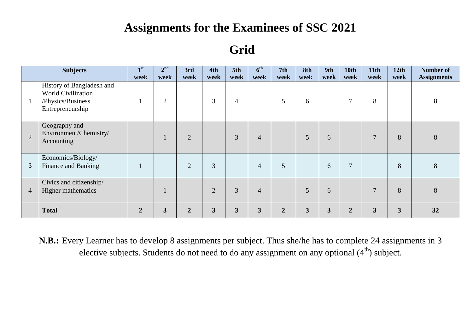## **Assignments for the Examinees of SSC 2021**

### **Grid**

|                | <b>Subjects</b>                                                                                 | $\mathbf{I}$ st<br>week | 2 <sup>nd</sup><br>week | 3rd<br>week    | 4th<br>week    | 5th<br>week    | 6 <sup>th</sup><br>week | 7 <sub>th</sub><br>week | 8th<br>week    | 9th<br>week  | <b>10th</b><br>week | 11 <sub>th</sub><br>week | 12th<br>week | <b>Number of</b><br><b>Assignments</b> |
|----------------|-------------------------------------------------------------------------------------------------|-------------------------|-------------------------|----------------|----------------|----------------|-------------------------|-------------------------|----------------|--------------|---------------------|--------------------------|--------------|----------------------------------------|
|                | History of Bangladesh and<br><b>World Civilization</b><br>/Physics/Business<br>Entrepreneurship |                         | $\overline{2}$          |                | 3              | $\overline{4}$ |                         | 5                       | 6              |              | 7                   | 8                        |              | 8                                      |
| $\overline{2}$ | Geography and<br>Environment/Chemistry/<br>Accounting                                           |                         |                         | $\overline{2}$ |                | 3              | $\overline{4}$          |                         | 5              | 6            |                     | $\overline{7}$           | 8            | 8                                      |
| 3              | Economics/Biology/<br>Finance and Banking                                                       |                         |                         | $\overline{2}$ | $\overline{3}$ |                | 4                       | 5                       |                | 6            | $\overline{7}$      |                          | 8            | $8\,$                                  |
| $\overline{4}$ | Civics and citizenship/<br>Higher mathematics                                                   |                         |                         |                | $\overline{2}$ | $\overline{3}$ | $\overline{4}$          |                         | $\overline{5}$ | 6            |                     | $\overline{7}$           | 8            | 8                                      |
|                | <b>Total</b>                                                                                    | $\overline{2}$          | $\overline{\mathbf{3}}$ | $\overline{2}$ | 3              | $\mathbf{3}$   | 3                       | $\overline{2}$          | $\mathbf{3}$   | $\mathbf{3}$ | $\overline{2}$      | 3                        | $\mathbf{3}$ | 32                                     |

**N.B.:** Every Learner has to develop 8 assignments per subject. Thus she/he has to complete 24 assignments in 3 elective subjects. Students do not need to do any assignment on any optional (4<sup>th</sup>) subject.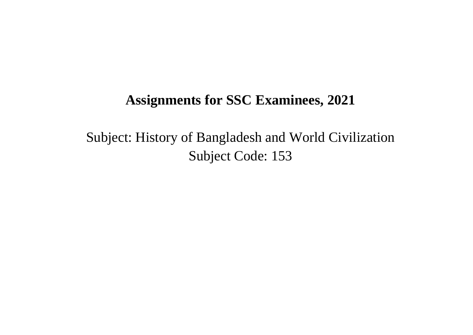Subject: History of Bangladesh and World Civilization Subject Code: 153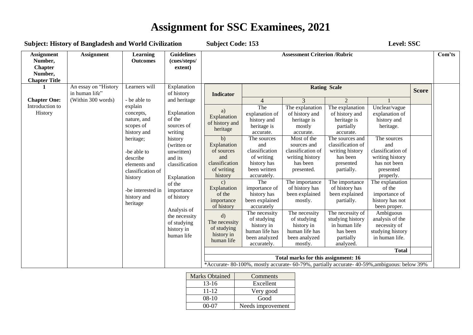| <b>Subject: History of Bangladesh and World Civilization</b>                      | Level: SSC<br><b>Subject Code: 153</b> |                                                                                                                                                                                                         |                                                                                                                                                                                                                                                     |                                                                                                                                                                                                                                                                                         |                                                                                                                                                                                                                                                                                                                                             |                                                                                                                                                                                                                                                                                                                                                                             |                                                                                                                                                                                                                                                                                                                                                                                                                                               |                                                                                                                                                                                                                                                                                                                                                            |        |  |
|-----------------------------------------------------------------------------------|----------------------------------------|---------------------------------------------------------------------------------------------------------------------------------------------------------------------------------------------------------|-----------------------------------------------------------------------------------------------------------------------------------------------------------------------------------------------------------------------------------------------------|-----------------------------------------------------------------------------------------------------------------------------------------------------------------------------------------------------------------------------------------------------------------------------------------|---------------------------------------------------------------------------------------------------------------------------------------------------------------------------------------------------------------------------------------------------------------------------------------------------------------------------------------------|-----------------------------------------------------------------------------------------------------------------------------------------------------------------------------------------------------------------------------------------------------------------------------------------------------------------------------------------------------------------------------|-----------------------------------------------------------------------------------------------------------------------------------------------------------------------------------------------------------------------------------------------------------------------------------------------------------------------------------------------------------------------------------------------------------------------------------------------|------------------------------------------------------------------------------------------------------------------------------------------------------------------------------------------------------------------------------------------------------------------------------------------------------------------------------------------------------------|--------|--|
| <b>Assignment</b><br>Number,<br><b>Chapter</b><br>Number,<br><b>Chapter Title</b> | <b>Assignment</b>                      | <b>Learning</b><br><b>Outcomes</b>                                                                                                                                                                      | <b>Guidelines</b><br>(cues/steps/<br>extent)                                                                                                                                                                                                        | <b>Assessment Criterion /Rubric</b>                                                                                                                                                                                                                                                     |                                                                                                                                                                                                                                                                                                                                             |                                                                                                                                                                                                                                                                                                                                                                             |                                                                                                                                                                                                                                                                                                                                                                                                                                               |                                                                                                                                                                                                                                                                                                                                                            | Com'ts |  |
|                                                                                   | An essay on "History<br>in human life" | Learners will                                                                                                                                                                                           | Explanation<br>of history                                                                                                                                                                                                                           | <b>Indicator</b>                                                                                                                                                                                                                                                                        | <b>Rating Scale</b>                                                                                                                                                                                                                                                                                                                         |                                                                                                                                                                                                                                                                                                                                                                             |                                                                                                                                                                                                                                                                                                                                                                                                                                               |                                                                                                                                                                                                                                                                                                                                                            |        |  |
| <b>Chapter One:</b>                                                               | (Within 300 words)                     | - be able to                                                                                                                                                                                            | and heritage                                                                                                                                                                                                                                        |                                                                                                                                                                                                                                                                                         | $\overline{4}$                                                                                                                                                                                                                                                                                                                              | 3                                                                                                                                                                                                                                                                                                                                                                           | $\overline{2}$                                                                                                                                                                                                                                                                                                                                                                                                                                |                                                                                                                                                                                                                                                                                                                                                            |        |  |
| Introduction to<br>History                                                        |                                        | explain<br>concepts,<br>nature, and<br>scopes of<br>history and<br>heritage;<br>-be able to<br>describe<br>elements and<br>classification of<br>history<br>-be interested in<br>history and<br>heritage | Explanation<br>of the<br>sources of<br>writing<br>history<br>(written or<br>unwritten)<br>and its<br>classification<br>Explanation<br>of the<br>importance<br>of history<br>Analysis of<br>the necessity<br>of studying<br>history in<br>human life | a)<br>Explanation<br>of history and<br>heritage<br>b)<br>Explanation<br>of sources<br>and<br>classification<br>of writing<br>history<br>$\mathbf{c}$ )<br>Explanation<br>of the<br>importance<br>of history<br>$\mathrm{d}$<br>The necessity<br>of studying<br>history in<br>human life | The<br>explanation of<br>history and<br>heritage is<br>accurate.<br>The sources<br>and<br>classification<br>of writing<br>history has<br>been written<br>accurately.<br>The<br>importance of<br>history has<br>been explained<br>accurately<br>The necessity<br>of studying<br>history in<br>human life has<br>been analyzed<br>accurately. | The explanation<br>of history and<br>heritage is<br>mostly<br>accurate.<br>Most of the<br>sources and<br>classification of<br>writing history<br>has been<br>presented.<br>The importance<br>of history has<br>been explained<br>mostly.<br>The necessity<br>of studying<br>history in<br>human life has<br>been analyzed<br>mostly.<br>Total marks for this assignment: 16 | The explanation<br>of history and<br>heritage is<br>partially<br>accurate.<br>The sources and<br>classification of<br>writing history<br>has been<br>presented<br>partially.<br>The importance<br>of history has<br>been explained<br>partially.<br>The necessity of<br>studying history<br>in human life<br>has been<br>partially<br>analyzed.<br>*Accurate-80-100%, mostly accurate-60-79%, partially accurate-40-59%, ambiguous: below 39% | Unclear/vague<br>explanation of<br>history and<br>heritage.<br>The sources<br>and<br>classification of<br>writing history<br>has not been<br>presented<br>properly.<br>The explanation<br>of the<br>importance of<br>history has not<br>been proper.<br>Ambiguous<br>analysis of the<br>necessity of<br>studying history<br>in human life.<br><b>Total</b> |        |  |

| Marks Obtained | Comments          |
|----------------|-------------------|
| $13-16$        | Excellent         |
| $11 - 12$      | Very good         |
| $08-10$        | Good              |
| 00-07          | Needs improvement |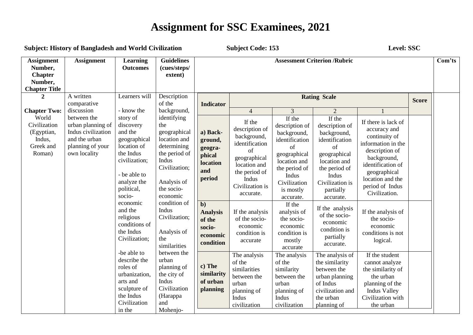| <b>Subject: History of Bangladesh and World Civilization</b>                      |                                                                                                                       |                                                                                                                                                   |                                                                                                                                                | <b>Subject Code: 153</b>                                              |                                                                                                                                                           |                                                                                                                                                                     |                                                                                                                                                                        | Level: SSC                                                                                                                                                                                               |                                                                               |        |
|-----------------------------------------------------------------------------------|-----------------------------------------------------------------------------------------------------------------------|---------------------------------------------------------------------------------------------------------------------------------------------------|------------------------------------------------------------------------------------------------------------------------------------------------|-----------------------------------------------------------------------|-----------------------------------------------------------------------------------------------------------------------------------------------------------|---------------------------------------------------------------------------------------------------------------------------------------------------------------------|------------------------------------------------------------------------------------------------------------------------------------------------------------------------|----------------------------------------------------------------------------------------------------------------------------------------------------------------------------------------------------------|-------------------------------------------------------------------------------|--------|
| <b>Assignment</b><br>Number,<br><b>Chapter</b><br>Number,<br><b>Chapter Title</b> | <b>Assignment</b>                                                                                                     | <b>Learning</b><br><b>Outcomes</b>                                                                                                                | <b>Guidelines</b><br>(cues/steps/<br>extent)                                                                                                   | <b>Assessment Criterion /Rubric</b>                                   |                                                                                                                                                           |                                                                                                                                                                     |                                                                                                                                                                        |                                                                                                                                                                                                          |                                                                               | Com'ts |
| $\mathbf{2}$                                                                      | A written<br>comparative                                                                                              | Learners will                                                                                                                                     | Description<br>of the                                                                                                                          | <b>Indicator</b>                                                      |                                                                                                                                                           |                                                                                                                                                                     | <b>Rating Scale</b>                                                                                                                                                    |                                                                                                                                                                                                          | <b>Score</b>                                                                  |        |
| <b>Chapter Two:</b>                                                               | discussion                                                                                                            | - know the                                                                                                                                        | background,                                                                                                                                    |                                                                       | $\overline{4}$                                                                                                                                            | 3                                                                                                                                                                   | $\overline{2}$                                                                                                                                                         |                                                                                                                                                                                                          |                                                                               |        |
| World<br>Civilization<br>(Egyptian,<br>Indus,<br>Greek and<br>Roman)              | between the<br>urban planning of<br>Indus civilization<br>and the urban<br>planning of your<br>own locality<br>socio- | story of<br>discovery<br>the<br>and the<br>geographical<br>location of<br>the Indus<br>civilization;<br>- be able to<br>analyze the<br>political, | identifying<br>geographical<br>location and<br>determining<br>the period of<br>Indus<br>Civilization;<br>Analysis of<br>the socio-<br>economic | a) Back-<br>ground,<br>geogra-<br>phical<br>location<br>and<br>period | If the<br>description of<br>background,<br>identification<br>of<br>geographical<br>location and<br>the period of<br>Indus<br>Civilization is<br>accurate. | If the<br>description of<br>background,<br>identification<br>of<br>geographical<br>location and<br>the period of<br>Indus<br>Civilization<br>is mostly<br>accurate. | If the<br>description of<br>background,<br>identification<br>of<br>geographical<br>location and<br>the period of<br>Indus<br>Civilization is<br>partially<br>accurate. | If there is lack of<br>accuracy and<br>continuity of<br>information in the<br>description of<br>background,<br>identification of<br>geographical<br>location and the<br>period of Indus<br>Civilization. |                                                                               |        |
|                                                                                   |                                                                                                                       | economic<br>and the<br>religious<br>conditions of<br>the Indus<br>Civilization;                                                                   | condition of<br>Indus<br>Civilization;<br>Analysis of<br>the<br>similarities                                                                   |                                                                       | $b$<br><b>Analysis</b><br>of the<br>socio-<br>economic<br>condition                                                                                       | If the analysis<br>of the socio-<br>economic<br>condition is<br>accurate                                                                                            | If the<br>analysis of<br>the socio-<br>economic<br>condition is<br>mostly<br>accurate                                                                                  | If the analysis<br>of the socio-<br>economic<br>condition is<br>partially<br>accurate.                                                                                                                   | If the analysis of<br>the socio-<br>economic<br>conditions is not<br>logical. |        |
|                                                                                   |                                                                                                                       | -be able to<br>describe the<br>roles of<br>urbanization,<br>arts and<br>sculpture of<br>the Indus<br>Civilization<br>in the                       | between the<br>urban<br>planning of<br>the city of<br>Indus<br>Civilization<br>(Harappa<br>and<br>Mohenjo-                                     | c) The<br>similarity<br>of urban<br>planning                          | The analysis<br>of the<br>similarities<br>between the<br>urban<br>planning of<br>Indus<br>civilization                                                    | The analysis<br>of the<br>similarity<br>between the<br>urban<br>planning of<br>Indus<br>civilization                                                                | The analysis of<br>the similarity<br>between the<br>urban planning<br>of Indus<br>civilization and<br>the urban<br>planning of                                         | If the student<br>cannot analyze<br>the similarity of<br>the urban<br>planning of the<br><b>Indus Valley</b><br>Civilization with<br>the urban                                                           |                                                                               |        |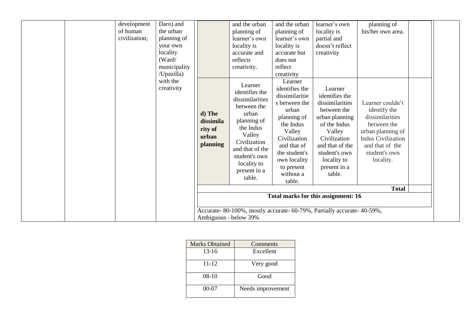|                                          | /Upazilla)<br>with the<br>creativity                                                    | d) The<br>dissimila<br>rity of<br>urban<br>planning | Learner<br>identifies the<br>dissimilarities<br>between the<br>urban<br>planning of<br>the Indus<br>Valley<br>Civilization<br>and that of the<br>student's own<br>locality to<br>present in a<br>table. | creativity<br>Learner<br>identifies the<br>dissimilaritie<br>s between the<br>urban<br>planning of<br>the Indus<br>Valley<br>Civilization<br>and that of<br>the student's<br>own locality<br>to present<br>without a<br>table. | Learner<br>identifies the<br>dissimilarities<br>between the<br>urban planning<br>of the Indus<br>Valley<br>Civilization<br>and that of the<br>student's own<br>locality to<br>present in a<br>table.<br>Total marks for this assignment: 16 | Learner couldn't<br>identify the<br>dissimilarities<br>between the<br>urban planning of<br><b>Indus Civilization</b><br>and that of the<br>student's own<br>locality.<br><b>Total</b> |  |
|------------------------------------------|-----------------------------------------------------------------------------------------|-----------------------------------------------------|---------------------------------------------------------------------------------------------------------------------------------------------------------------------------------------------------------|--------------------------------------------------------------------------------------------------------------------------------------------------------------------------------------------------------------------------------|---------------------------------------------------------------------------------------------------------------------------------------------------------------------------------------------------------------------------------------------|---------------------------------------------------------------------------------------------------------------------------------------------------------------------------------------|--|
| development<br>of human<br>civilization; | Daro) and<br>the urban<br>planning of<br>your own<br>locality<br>(Ward/<br>municipality |                                                     | and the urban<br>planning of<br>learner's own<br>locality is<br>accurate and<br>reflects<br>creativity.                                                                                                 | and the urban<br>planning of<br>learner's own<br>locality is<br>accurate but<br>does not<br>reflect                                                                                                                            | learner's own<br>locality is<br>partial and<br>doesn't reflect<br>creativity                                                                                                                                                                | planning of<br>his/her own area.                                                                                                                                                      |  |

| <b>Marks Obtained</b> | Comments          |
|-----------------------|-------------------|
| $13 - 16$             | Excellent         |
| 11-12                 | Very good         |
| $08-10$               | Good              |
| $00-07$               | Needs improvement |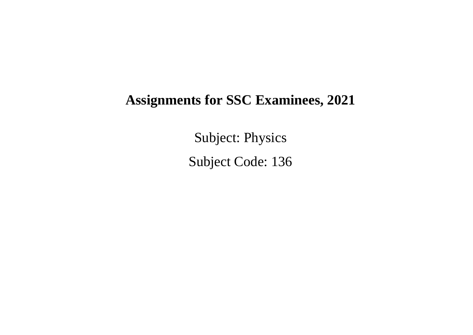Subject: Physics Subject Code: 136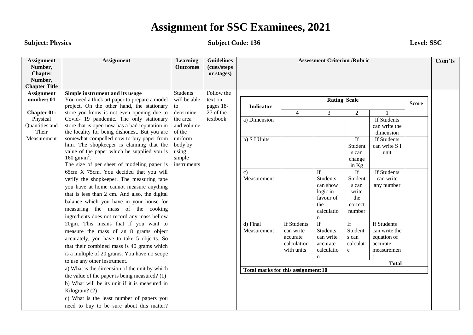#### **Subject: Physics Level: SSC**

| <b>Assignment</b><br>Number,<br><b>Chapter</b><br>Number,<br><b>Chapter Title</b> | <b>Assignment</b>                                                                    | <b>Learning</b><br><b>Outcomes</b> | <b>Guidelines</b><br>(cues/steps<br>or stages) | <b>Assessment Criterion /Rubric</b> |                       |                              |                                   |                              |              | Com'ts |
|-----------------------------------------------------------------------------------|--------------------------------------------------------------------------------------|------------------------------------|------------------------------------------------|-------------------------------------|-----------------------|------------------------------|-----------------------------------|------------------------------|--------------|--------|
| <b>Assignment</b>                                                                 | Simple instrument and its usage                                                      | Students                           | Follow the                                     |                                     |                       |                              |                                   |                              |              |        |
| number: 01                                                                        | You need a thick art paper to prepare a model                                        | will be able                       | text on                                        |                                     |                       | <b>Rating Scale</b>          |                                   |                              | <b>Score</b> |        |
|                                                                                   | project. On the other hand, the stationary                                           | to                                 | pages 18-                                      | <b>Indicator</b>                    |                       |                              |                                   |                              |              |        |
| <b>Chapter 01:</b><br>Physical                                                    | store you know is not even opening due to<br>Covid- 19 pandemic. The only stationary | determine<br>the area              | 27 of the<br>textbook.                         |                                     | $\overline{4}$        | 3                            | $\overline{2}$                    | If Students                  |              |        |
| Quantities and                                                                    | store that is open now has a bad reputation in                                       | and volume                         |                                                | a) Dimension                        |                       |                              |                                   | can write the                |              |        |
| Their                                                                             | the locality for being dishonest. But you are                                        | of the                             |                                                |                                     |                       |                              |                                   | dimension                    |              |        |
| Measurement                                                                       | somewhat compelled now to buy paper from                                             | uniform                            |                                                | b) S I Units                        |                       |                              | If                                | If Students                  |              |        |
|                                                                                   | him. The shopkeeper is claiming that the                                             | body by                            |                                                |                                     |                       |                              | Student                           | can write S I                |              |        |
|                                                                                   | value of the paper which he supplied you is                                          | using                              |                                                |                                     |                       |                              | s can                             | unit                         |              |        |
|                                                                                   | $160 \text{ gm/m}^2$ .                                                               | simple                             |                                                |                                     |                       |                              | change                            |                              |              |        |
|                                                                                   | The size of per sheet of modeling paper is                                           | instruments                        |                                                |                                     |                       |                              | in $Kg$                           |                              |              |        |
|                                                                                   | 65cm X 75cm. You decided that you will                                               |                                    |                                                | $\mathbf{c}$<br>Measurement         |                       | If<br><b>Students</b>        | $\overline{\text{If}}$<br>Student | If Students<br>can write     |              |        |
|                                                                                   | verify the shopkeeper. The measuring tape                                            |                                    |                                                |                                     |                       | can show                     | s can                             | any number                   |              |        |
|                                                                                   | you have at home cannot measure anything                                             |                                    |                                                |                                     |                       | logic in                     | write                             |                              |              |        |
|                                                                                   | that is less than 2 cm. And also, the digital                                        |                                    |                                                |                                     |                       | favour of                    | the                               |                              |              |        |
|                                                                                   | balance which you have in your house for                                             |                                    |                                                |                                     |                       | the                          | correct                           |                              |              |        |
|                                                                                   | measuring the mass of the cooking                                                    |                                    |                                                |                                     |                       | calculatio                   | number                            |                              |              |        |
|                                                                                   | ingredients does not record any mass bellow                                          |                                    |                                                |                                     |                       | n                            |                                   |                              |              |        |
|                                                                                   | 20gm. This means that if you want to                                                 |                                    |                                                | d) Final                            | If Students           | If                           | If                                | If Students                  |              |        |
|                                                                                   | measure the mass of an 8 grams object                                                |                                    |                                                | Measurement                         | can write<br>accurate | <b>Students</b><br>can write | Student<br>s can                  | can write the<br>equation of |              |        |
|                                                                                   | accurately, you have to take 5 objects. So                                           |                                    |                                                |                                     | calculation           | accurate                     | calculat                          | accurate                     |              |        |
|                                                                                   | that their combined mass is 40 grams which                                           |                                    |                                                |                                     | with units            | calculatio                   | e                                 | measuremen                   |              |        |
|                                                                                   | is a multiple of 20 grams. You have no scope                                         |                                    |                                                |                                     |                       | $\mathbf n$                  |                                   |                              |              |        |
|                                                                                   | to use any other instrument.                                                         |                                    |                                                |                                     |                       |                              |                                   | <b>Total</b>                 |              |        |
|                                                                                   | a) What is the dimension of the unit by which                                        |                                    |                                                | Total marks for this assignment:10  |                       |                              |                                   |                              |              |        |
|                                                                                   | the value of the paper is being measured? $(1)$                                      |                                    |                                                |                                     |                       |                              |                                   |                              |              |        |
|                                                                                   | b) What will be its unit if it is measured in                                        |                                    |                                                |                                     |                       |                              |                                   |                              |              |        |
|                                                                                   | Kilogram? (2)                                                                        |                                    |                                                |                                     |                       |                              |                                   |                              |              |        |
|                                                                                   | c) What is the least number of papers you                                            |                                    |                                                |                                     |                       |                              |                                   |                              |              |        |
|                                                                                   | need to buy to be sure about this matter?                                            |                                    |                                                |                                     |                       |                              |                                   |                              |              |        |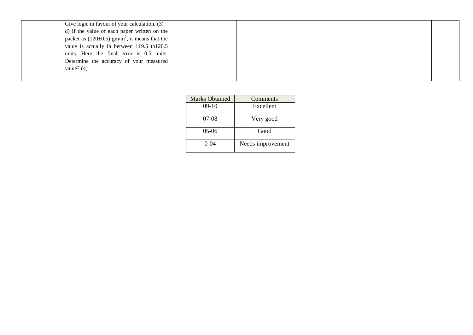| Give logic in favour of your calculation. (3)                 |  |  |
|---------------------------------------------------------------|--|--|
| d) If the value of each paper written on the                  |  |  |
| packet as $(120\pm0.5)$ gm/m <sup>2</sup> , it means that the |  |  |
| value is actually in between $119.5$ to $120.5$               |  |  |
| units. Here the final error is 0.5 units.                     |  |  |
| Determine the accuracy of your measured                       |  |  |
| value? $(4)$                                                  |  |  |
|                                                               |  |  |

| <b>Marks Obtained</b> | Comments          |
|-----------------------|-------------------|
| $09-10$               | Excellent         |
| $07-08$               | Very good         |
| $05-06$               | Good              |
| $0 - 04$              | Needs improvement |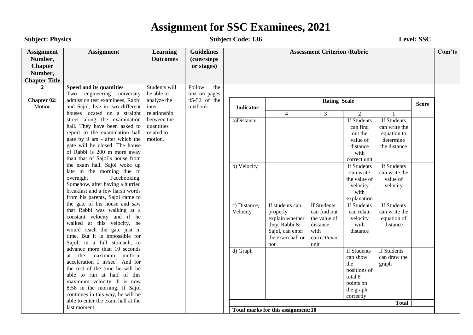**Subject: Physics Level: SSC** 

| <b>Assignment</b><br>Number,<br><b>Chapter</b><br>Number,<br><b>Chapter Title</b> | <b>Assignment</b>                                                                                                                                                                                                                                                                                                                                                                                                                                                                | <b>Learning</b><br><b>Outcomes</b> | <b>Guidelines</b><br>(cues/steps<br>or stages) | <b>Assessment Criterion /Rubric</b> |                                    |                     |                                                                                                  |                                                                                    | Com'ts                                                                                                         |                                                                                          |                                                           |                                                         |
|-----------------------------------------------------------------------------------|----------------------------------------------------------------------------------------------------------------------------------------------------------------------------------------------------------------------------------------------------------------------------------------------------------------------------------------------------------------------------------------------------------------------------------------------------------------------------------|------------------------------------|------------------------------------------------|-------------------------------------|------------------------------------|---------------------|--------------------------------------------------------------------------------------------------|------------------------------------------------------------------------------------|----------------------------------------------------------------------------------------------------------------|------------------------------------------------------------------------------------------|-----------------------------------------------------------|---------------------------------------------------------|
| $\mathbf{2}$                                                                      | Speed and its quantities                                                                                                                                                                                                                                                                                                                                                                                                                                                         | Students will                      | Follow<br>the                                  |                                     |                                    |                     |                                                                                                  |                                                                                    |                                                                                                                |                                                                                          |                                                           |                                                         |
| Chapter 02:<br>Motion                                                             | Two engineering university<br>admission test examinees, Rabbi<br>and Sajol, live in two different                                                                                                                                                                                                                                                                                                                                                                                | be able to<br>analyze the<br>inter | text on pages<br>45-52 of the<br>textbook.     | <b>Indicator</b>                    |                                    | <b>Rating Scale</b> |                                                                                                  |                                                                                    | <b>Score</b>                                                                                                   |                                                                                          |                                                           |                                                         |
|                                                                                   | houses located on a straight                                                                                                                                                                                                                                                                                                                                                                                                                                                     | relationship                       |                                                |                                     | $\overline{4}$                     | $\overline{3}$      | 2                                                                                                |                                                                                    |                                                                                                                |                                                                                          |                                                           |                                                         |
|                                                                                   | street along the examination<br>quantities<br>hall. They have been asked to<br>related to<br>report to the examination hall<br>gate by 9 am - after which the<br>motion.<br>gate will be closed. The house<br>of Rabbi is 200 m more away<br>than that of Sajol's house from<br>the exam hall. Sajol woke up<br>late in the morning due to<br>overnight<br>Facebooking.<br>Somehow, after having a hurried<br>breakfast and a few harsh words<br>from his parents, Sajol came to | between the                        |                                                |                                     | a)Distance                         |                     |                                                                                                  | If Students<br>can find<br>out the<br>value of<br>distance<br>with<br>correct unit | If Students<br>can write the<br>equation to<br>determine<br>the distance                                       |                                                                                          |                                                           |                                                         |
|                                                                                   |                                                                                                                                                                                                                                                                                                                                                                                                                                                                                  |                                    |                                                |                                     | b) Velocity                        |                     |                                                                                                  | If Students<br>can write<br>the value of<br>velocity<br>with<br>explanation        | If Students<br>can write the<br>value of<br>velocity                                                           |                                                                                          |                                                           |                                                         |
|                                                                                   | the gate of his house and saw<br>that Rabbi was walking at a<br>constant velocity and if he<br>walked at this velocity, he<br>would reach the gate just in<br>time. But it is impossible for<br>Sajol, in a full stomach, to                                                                                                                                                                                                                                                     |                                    |                                                |                                     |                                    |                     |                                                                                                  | c) Distance,<br>Velocity                                                           | If students can<br>properly<br>explain whether<br>they, Rabbi &<br>Sajol, can enter<br>the exam hall or<br>not | If Students<br>can find out<br>the value of<br>distance<br>with<br>correct/exact<br>unit | If Students<br>can relate<br>velocity<br>with<br>distance | If Students<br>can write the<br>equation of<br>distance |
|                                                                                   | advance more than 10 seconds<br>the maximum uniform<br>at<br>acceleration 1 m/sec <sup>2</sup> . And for<br>the rest of the time he will be<br>able to run at half of this<br>maximum velocity. It is now<br>8:58 in the morning. If Sajol<br>continues in this way, he will be<br>able to enter the exam hall at the                                                                                                                                                            |                                    |                                                | d) Graph                            |                                    |                     | If Students<br>can show<br>the<br>positions of<br>total 8<br>points on<br>the graph<br>correctly | If Students<br>can draw the<br>graph                                               |                                                                                                                |                                                                                          |                                                           |                                                         |
|                                                                                   | last moment.                                                                                                                                                                                                                                                                                                                                                                                                                                                                     |                                    |                                                |                                     | Total marks for this assignment:10 |                     |                                                                                                  | <b>Total</b>                                                                       |                                                                                                                |                                                                                          |                                                           |                                                         |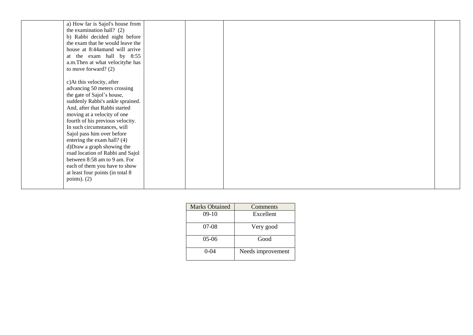| a) How far is Sajol's house from |  |  |
|----------------------------------|--|--|
| the examination hall? $(2)$      |  |  |
| b) Rabbi decided night before    |  |  |
| the exam that he would leave the |  |  |
| house at 8:44amand will arrive   |  |  |
| at the exam hall by 8:55         |  |  |
| a.m.Then at what velocityhe has  |  |  |
| to move forward? $(2)$           |  |  |
|                                  |  |  |
| c) At this velocity, after       |  |  |
| advancing 50 meters crossing     |  |  |
| the gate of Sajol's house,       |  |  |
| suddenly Rabbi's ankle sprained. |  |  |
| And, after that Rabbi started    |  |  |
| moving at a velocity of one      |  |  |
| fourth of his previous velocity. |  |  |
| In such circumstances, will      |  |  |
| Sajol pass him over before       |  |  |
| entering the exam hall? (4)      |  |  |
| d) Draw a graph showing the      |  |  |
| road location of Rabbi and Sajol |  |  |
| between 8:58 am to 9 am. For     |  |  |
| each of them you have to show    |  |  |
| at least four points (in total 8 |  |  |
| points). $(2)$                   |  |  |
|                                  |  |  |

| <b>Marks Obtained</b> | Comments          |
|-----------------------|-------------------|
| $09-10$               | Excellent         |
| $07-08$               | Very good         |
| $05-06$               | Good              |
| $0 - 04$              | Needs improvement |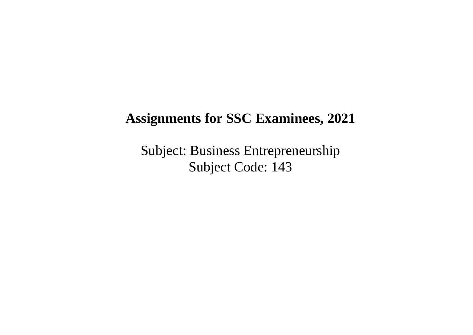Subject: Business Entrepreneurship Subject Code: 143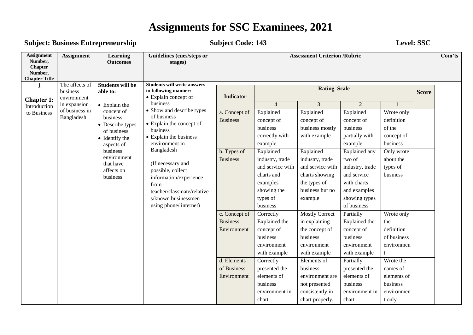### **Subject: Business Entrepreneurship Subject Code: 143 Level: SSC**

| <b>Assignment</b><br>Number,<br><b>Chapter</b><br>Number,<br><b>Chapter Title</b> | <b>Assignment</b>                            | <b>Learning</b><br><b>Outcomes</b>                                                                                                                                                   | Guidelines (cues/steps or<br>stages)                                                                                                                                                                                                                                                                              | <b>Assessment Criterion /Rubric</b>                                                          |                                                                                                                                                                                                         |                                                                                                                                                                                                          |                                                                                                                                                                                                   |                                                                                                                                          |              |  |  |
|-----------------------------------------------------------------------------------|----------------------------------------------|--------------------------------------------------------------------------------------------------------------------------------------------------------------------------------------|-------------------------------------------------------------------------------------------------------------------------------------------------------------------------------------------------------------------------------------------------------------------------------------------------------------------|----------------------------------------------------------------------------------------------|---------------------------------------------------------------------------------------------------------------------------------------------------------------------------------------------------------|----------------------------------------------------------------------------------------------------------------------------------------------------------------------------------------------------------|---------------------------------------------------------------------------------------------------------------------------------------------------------------------------------------------------|------------------------------------------------------------------------------------------------------------------------------------------|--------------|--|--|
| $\mathbf 1$<br><b>Chapter 1:</b>                                                  | The affects of<br>business<br>environment    | <b>Students will be</b><br>able to:                                                                                                                                                  | <b>Students will write answers</b><br>in following manner:<br>• Explain concept of                                                                                                                                                                                                                                | <b>Indicator</b>                                                                             |                                                                                                                                                                                                         | <b>Rating Scale</b>                                                                                                                                                                                      |                                                                                                                                                                                                   |                                                                                                                                          | <b>Score</b> |  |  |
| Introduction<br>to Business                                                       | in expansion<br>of business in<br>Bangladesh | $\bullet$ Explain the<br>concept of<br>business<br>• Describe types<br>of business<br>• Identify the<br>aspects of<br>business<br>environment<br>that have<br>affects on<br>business | business<br>• Show and describe types<br>of business<br>• Explain the concept of<br>business<br>• Explain the business<br>environment in<br>Bangladesh<br>(If necessary and<br>possible, collect<br>information/experience<br>from<br>teacher/classmate/relative<br>s/known businessmen<br>using phone/ internet) | a. Concept of<br><b>Business</b><br>b. Types of<br><b>Business</b>                           | $\overline{4}$<br>Explained<br>concept of<br>business<br>correctly with<br>example<br>Explained<br>industry, trade<br>and service with<br>charts and<br>examples<br>showing the<br>types of<br>business | 3<br>Explained<br>concept of<br>business mostly<br>with example<br>Explained<br>industry, trade<br>and service with<br>charts showing<br>the types of<br>business but no<br>example                      | 2<br>Explained<br>concept of<br>business<br>partially with<br>example<br>Explained any<br>two of<br>industry, trade<br>and service<br>with charts<br>and examples<br>showing types<br>of business | Wrote only<br>definition<br>of the<br>concept of<br>business<br>Only wrote<br>about the<br>types of<br>business                          |              |  |  |
|                                                                                   |                                              |                                                                                                                                                                                      |                                                                                                                                                                                                                                                                                                                   | c. Concept of<br><b>Business</b><br>Environment<br>d. Elements<br>of Business<br>Environment | Correctly<br>Explained the<br>concept of<br>business<br>environment<br>with example<br>Correctly<br>presented the<br>elements of<br>business<br>environment in<br>chart                                 | <b>Mostly Correct</b><br>in explaining<br>the concept of<br>business<br>environment<br>with example<br>Elements of<br>business<br>environment are<br>not presented<br>consistently in<br>chart properly. | Partially<br>Explained the<br>concept of<br>business<br>environment<br>with example<br>Partially<br>presented the<br>elements of<br>business<br>environment in<br>chart                           | Wrote only<br>the<br>definition<br>of business<br>environmen<br>Wrote the<br>names of<br>elements of<br>business<br>environmen<br>t only |              |  |  |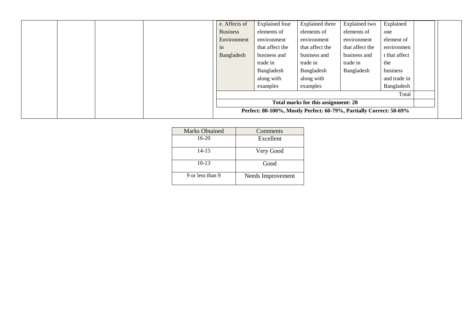| e. Affects of                       | <b>Explained</b> four | Explained three                                                     | Explained two   | Explained     |  |  |
|-------------------------------------|-----------------------|---------------------------------------------------------------------|-----------------|---------------|--|--|
| <b>Business</b>                     | elements of           | elements of                                                         | elements of     | one           |  |  |
| Environment                         | environment           | environment                                                         | environment     | element of    |  |  |
| in                                  | that affect the       | that affect the                                                     | that affect the | environmen    |  |  |
| Bangladesh                          | business and          | business and                                                        | business and    | t that affect |  |  |
|                                     | trade in              | trade in                                                            | trade in        | the           |  |  |
|                                     | Bangladesh            | Bangladesh                                                          | Bangladesh      | business      |  |  |
|                                     | along with            | along with                                                          |                 | and trade in  |  |  |
|                                     | examples              | examples                                                            |                 | Bangladesh    |  |  |
|                                     |                       |                                                                     |                 | Total         |  |  |
| Total marks for this assignment: 20 |                       |                                                                     |                 |               |  |  |
|                                     |                       | Perfect: 80-100%, Mostly Perfect: 60-79%, Partially Correct: 50-69% |                 |               |  |  |

| <b>Marks Obtained</b> | Comments          |
|-----------------------|-------------------|
| $16-20$               | Excellent         |
| $14 - 15$             | Very Good         |
| $10-13$               | Good              |
| 9 or less than 9      | Needs Improvement |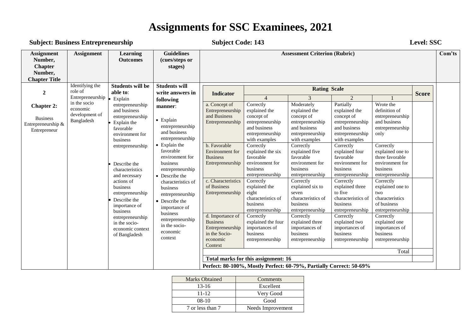#### **Subject: Business Entrepreneurship Subject Code: 143 Level: SSC**

| Identifying the<br><b>Students will</b><br><b>Students will be</b><br><b>Rating Scale</b><br>role of<br>$\boldsymbol{2}$<br>able to:<br>write answers in<br><b>Indicator</b><br>Entrepreneurship<br>3<br>$\overline{2}$<br>$\overline{4}$<br>Explain<br>following<br>in the socio<br>Moderately<br>Partially<br>Wrote the<br>a. Concept of<br>Correctly<br>entrepreneurship<br><b>Chapter 2:</b><br>manner:<br>economic<br>and business<br>Entrepreneurship<br>definition of<br>explained the<br>explained the<br>explained the<br>development of<br>and Business<br>concept of<br>concept of<br>concept of<br>entrepreneurship<br>entrepreneurship<br><b>Business</b><br>$\bullet$ Explain<br>Bangladesh<br>Entrepreneurship<br>and business<br>entrepreneurship<br>entrepreneurship<br>entrepreneurship<br>Explain the<br>Entrepreneurship &<br>entrepreneurship<br>and business<br>and business<br>and business<br>entrepreneurship<br>favorable<br>Entrepreneur<br>and business<br>entrepreneurship<br>entrepreneurship<br>entrepreneurship<br>environment for<br>only | Com'ts       |                                     |  | <b>Assessment Criterion (Rubric)</b> |  |  | <b>Guidelines</b><br>(cues/steps or<br>stages)                                                                                                                                                                                                                                                                | <b>Learning</b><br><b>Outcomes</b> | <b>Assignment</b> | <b>Assignment</b><br>Number,<br><b>Chapter</b><br>Number,<br><b>Chapter Title</b> |  |  |  |  |
|----------------------------------------------------------------------------------------------------------------------------------------------------------------------------------------------------------------------------------------------------------------------------------------------------------------------------------------------------------------------------------------------------------------------------------------------------------------------------------------------------------------------------------------------------------------------------------------------------------------------------------------------------------------------------------------------------------------------------------------------------------------------------------------------------------------------------------------------------------------------------------------------------------------------------------------------------------------------------------------------------------------------------------------------------------------------------|--------------|-------------------------------------|--|--------------------------------------|--|--|---------------------------------------------------------------------------------------------------------------------------------------------------------------------------------------------------------------------------------------------------------------------------------------------------------------|------------------------------------|-------------------|-----------------------------------------------------------------------------------|--|--|--|--|
|                                                                                                                                                                                                                                                                                                                                                                                                                                                                                                                                                                                                                                                                                                                                                                                                                                                                                                                                                                                                                                                                            |              |                                     |  |                                      |  |  |                                                                                                                                                                                                                                                                                                               |                                    |                   |                                                                                   |  |  |  |  |
|                                                                                                                                                                                                                                                                                                                                                                                                                                                                                                                                                                                                                                                                                                                                                                                                                                                                                                                                                                                                                                                                            | <b>Score</b> |                                     |  |                                      |  |  |                                                                                                                                                                                                                                                                                                               |                                    |                   |                                                                                   |  |  |  |  |
| with examples<br>with examples<br>with examples                                                                                                                                                                                                                                                                                                                                                                                                                                                                                                                                                                                                                                                                                                                                                                                                                                                                                                                                                                                                                            |              |                                     |  |                                      |  |  | entrepreneurship<br>$\bullet$ Explain the<br>favorable<br>environment for<br>business<br>entrepreneurship<br>and necessary<br>• Describe the<br>characteristics of<br>business<br>entrepreneurship<br>• Describe the<br>importance of<br>business<br>entrepreneurship<br>in the socio-<br>economic<br>context | business                           |                   |                                                                                   |  |  |  |  |
| b. Favorable<br>Correctly<br>Correctly<br>Correctly<br>Correctly<br>entrepreneurship<br>Environment for<br>explained the six<br>explained five<br>explained four<br>explained one to<br>favorable<br>favorable<br>favorable<br>three favorable<br><b>Business</b><br>environment for<br>environment for<br>environment for<br>Entrepreneurship<br>environment for<br>Describe the<br>business<br>business<br>business<br><b>business</b><br>characteristics<br>entrepreneurship<br>entrepreneurship<br>entrepreneurship<br>entrepreneurship                                                                                                                                                                                                                                                                                                                                                                                                                                                                                                                                |              |                                     |  |                                      |  |  |                                                                                                                                                                                                                                                                                                               |                                    |                   |                                                                                   |  |  |  |  |
| c. Characteristics<br>Correctly<br>Correctly<br>Correctly<br>Correctly<br>actions of<br>of Business<br>business<br>explained the<br>explained six to<br>explained three<br>explained one to<br>to five<br>Entrepreneurship<br>eight<br>seven<br>two<br>entrepreneurship<br>characteristics of<br>characteristics of<br>characteristics of<br>characteristics<br>Describe the<br>of business<br>business<br>business<br>business<br>importance of<br>entrepreneurship<br>entrepreneurship<br>entrepreneurship<br>entrepreneurship<br>business                                                                                                                                                                                                                                                                                                                                                                                                                                                                                                                               |              |                                     |  |                                      |  |  |                                                                                                                                                                                                                                                                                                               |                                    |                   |                                                                                   |  |  |  |  |
| Correctly<br>Correctly<br>Correctly<br>d. Importance of<br>Correctly<br>entrepreneurship<br><b>Business</b><br>explained the four<br>explained three<br>explained two<br>explained one<br>in the socio-<br>Entrepreneurship<br>importances of<br>importances of<br>importances of<br>importances of<br>economic context<br>in the Socio-<br>business<br>business<br>business<br>business<br>of Bangladesh<br>economic<br>entrepreneurship<br>entrepreneurship<br>entrepreneurship<br>entrepreneurship<br>Context                                                                                                                                                                                                                                                                                                                                                                                                                                                                                                                                                           |              |                                     |  |                                      |  |  |                                                                                                                                                                                                                                                                                                               |                                    |                   |                                                                                   |  |  |  |  |
| Total                                                                                                                                                                                                                                                                                                                                                                                                                                                                                                                                                                                                                                                                                                                                                                                                                                                                                                                                                                                                                                                                      |              |                                     |  |                                      |  |  |                                                                                                                                                                                                                                                                                                               |                                    |                   |                                                                                   |  |  |  |  |
| Perfect: 80-100%, Mostly Perfect: 60-79%, Partially Correct: 50-69%                                                                                                                                                                                                                                                                                                                                                                                                                                                                                                                                                                                                                                                                                                                                                                                                                                                                                                                                                                                                        |              | Total marks for this assignment: 16 |  |                                      |  |  |                                                                                                                                                                                                                                                                                                               |                                    |                   |                                                                                   |  |  |  |  |

| <b>Marks Obtained</b> | Comments          |
|-----------------------|-------------------|
| $13 - 16$             | Excellent         |
| 11-12                 | Very Good         |
| $08-10$               | Good              |
| 7 or less than 7      | Needs Improvement |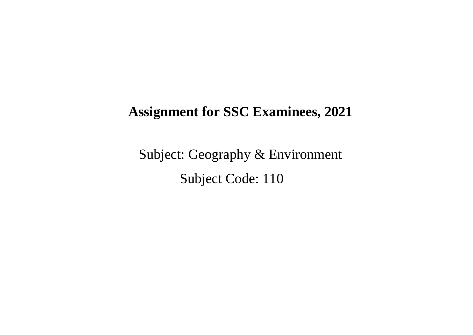Subject: Geography & Environment Subject Code: 110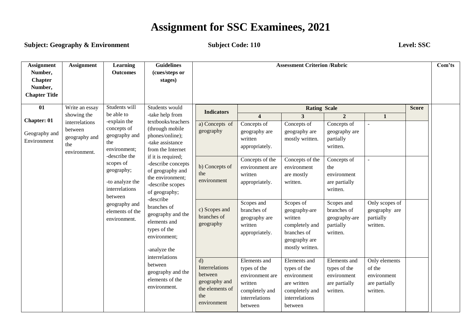**Subject: Geography & Environment Subject Code: 110** Level: SSC

| <b>Assignment</b><br>Number,<br><b>Chapter</b><br>Number,<br><b>Chapter Title</b> | <b>Assignment</b>                                                                | Learning<br><b>Outcomes</b>                                                                                                                                                                                                       | <b>Guidelines</b><br>(cues/steps or<br>stages)                                                                                                                                                                                                                                                                 |                                                                                                                                       |                                                                                                                                                                                                                  | <b>Assessment Criterion /Rubric</b>                                                                                                                                                      |                                                                                                                                                                                                      |                                                                                                      |              | Com'ts |
|-----------------------------------------------------------------------------------|----------------------------------------------------------------------------------|-----------------------------------------------------------------------------------------------------------------------------------------------------------------------------------------------------------------------------------|----------------------------------------------------------------------------------------------------------------------------------------------------------------------------------------------------------------------------------------------------------------------------------------------------------------|---------------------------------------------------------------------------------------------------------------------------------------|------------------------------------------------------------------------------------------------------------------------------------------------------------------------------------------------------------------|------------------------------------------------------------------------------------------------------------------------------------------------------------------------------------------|------------------------------------------------------------------------------------------------------------------------------------------------------------------------------------------------------|------------------------------------------------------------------------------------------------------|--------------|--------|
| 01                                                                                | Write an essay                                                                   | Students will                                                                                                                                                                                                                     | Students would                                                                                                                                                                                                                                                                                                 |                                                                                                                                       |                                                                                                                                                                                                                  | <b>Rating Scale</b>                                                                                                                                                                      |                                                                                                                                                                                                      |                                                                                                      | <b>Score</b> |        |
| Chapter: 01<br>Geography and<br>Environment                                       | showing the<br>interrelations<br>between<br>geography and<br>the<br>environment. | be able to<br>-explain the<br>concepts of<br>geography and<br>the<br>environment;<br>-describe the<br>scopes of<br>geography;<br>-to analyze the<br>interrelations<br>between<br>geography and<br>elements of the<br>environment. | -take help from<br>textbooks/teachers<br>(through mobile<br>phones/online);<br>-take assistance<br>from the Internet<br>if it is required;<br>-describe concepts<br>of geography and<br>the environment;<br>-describe scopes<br>of geography;<br>-describe<br>branches of<br>geography and the<br>elements and | <b>Indicators</b><br>a) Concepts of<br>geography<br>b) Concepts of<br>the<br>environment<br>c) Scopes and<br>branches of<br>geography | $\overline{\mathbf{4}}$<br>Concepts of<br>geography are<br>written<br>appropriately.<br>Concepts of the<br>environment are<br>written<br>appropriately.<br>Scopes and<br>branches of<br>geography are<br>written | $\overline{3}$<br>Concepts of<br>geography are<br>mostly written.<br>Concepts of the<br>environment<br>are mostly<br>written.<br>Scopes of<br>geography are<br>written<br>completely and | $\overline{2}$<br>Concepts of<br>geography are<br>partially<br>written.<br>Concepts of<br>the<br>environment<br>are partially<br>written.<br>Scopes and<br>branches of<br>geography-are<br>partially | $\mathbf{1}$<br>$\overline{\phantom{a}}$<br>Only scopes of<br>geography are<br>partially<br>written. |              |        |
|                                                                                   |                                                                                  |                                                                                                                                                                                                                                   | types of the<br>environment;<br>-analyze the<br>interrelations<br>between<br>geography and the<br>elements of the<br>environment.                                                                                                                                                                              | d)<br>Interrelations<br>between<br>geography and<br>the elements of<br>the<br>environment                                             | appropriately.<br>Elements and<br>types of the<br>environment are<br>written<br>completely and<br>interrelations<br>between                                                                                      | branches of<br>geography are<br>mostly written.<br>Elements and<br>types of the<br>environment<br>are written<br>completely and<br>interrelations<br>between                             | written.<br>Elements and<br>types of the<br>environment<br>are partially<br>written.                                                                                                                 | Only elements<br>of the<br>environment<br>are partially<br>written.                                  |              |        |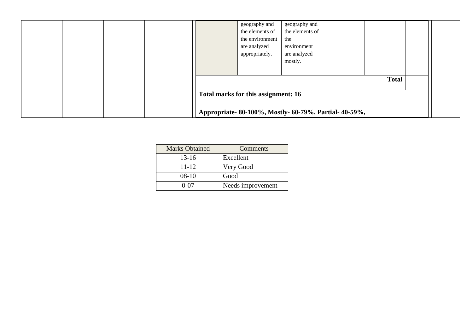|  |                                     | geography and<br>the elements of<br>the environment<br>are analyzed<br>appropriately. | geography and<br>the elements of<br>the<br>environment<br>are analyzed<br>mostly. |              |  |
|--|-------------------------------------|---------------------------------------------------------------------------------------|-----------------------------------------------------------------------------------|--------------|--|
|  | Total marks for this assignment: 16 |                                                                                       | Appropriate-80-100%, Mostly-60-79%, Partial-40-59%,                               | <b>Total</b> |  |

| <b>Marks Obtained</b> | Comments          |
|-----------------------|-------------------|
| $13 - 16$             | Excellent         |
| $11 - 12$             | Very Good         |
| $08-10$               | Good              |
| በ-በ7                  | Needs improvement |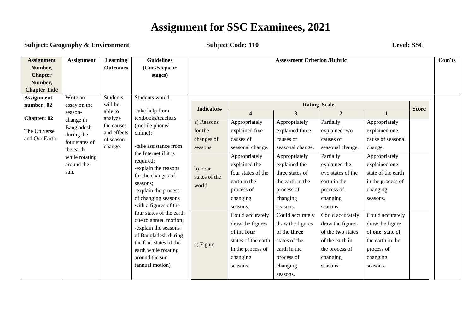#### **Subject: Geography & Environment Subject Code: 110 Level: SSC**

| <b>Assignment</b><br>Number,<br><b>Chapter</b>      | <b>Assignment</b>                                                                                                       | <b>Learning</b><br><b>Outcomes</b>                                       | <b>Guidelines</b><br>(Cues/steps or<br>stages)                                                                                                                                                                                                                       |                                                                                                          |                                                                                                                                                                                                           | <b>Assessment Criterion /Rubric</b>                                                                                                                                                                |                                                                                                                                                                                        |                                                                                                                                                                                     |              | Com'ts |
|-----------------------------------------------------|-------------------------------------------------------------------------------------------------------------------------|--------------------------------------------------------------------------|----------------------------------------------------------------------------------------------------------------------------------------------------------------------------------------------------------------------------------------------------------------------|----------------------------------------------------------------------------------------------------------|-----------------------------------------------------------------------------------------------------------------------------------------------------------------------------------------------------------|----------------------------------------------------------------------------------------------------------------------------------------------------------------------------------------------------|----------------------------------------------------------------------------------------------------------------------------------------------------------------------------------------|-------------------------------------------------------------------------------------------------------------------------------------------------------------------------------------|--------------|--------|
| Number,<br><b>Chapter Title</b>                     |                                                                                                                         |                                                                          |                                                                                                                                                                                                                                                                      |                                                                                                          |                                                                                                                                                                                                           |                                                                                                                                                                                                    |                                                                                                                                                                                        |                                                                                                                                                                                     |              |        |
| <b>Assignment</b><br>number: 02                     | Write an<br>essay on the                                                                                                | <b>Students</b><br>will be                                               | Students would                                                                                                                                                                                                                                                       |                                                                                                          |                                                                                                                                                                                                           |                                                                                                                                                                                                    | <b>Rating Scale</b>                                                                                                                                                                    |                                                                                                                                                                                     |              |        |
| <b>Chapter: 02</b><br>The Universe<br>and Our Earth | season-<br>change in<br>Bangladesh<br>during the<br>four states of<br>the earth<br>while rotating<br>around the<br>sun. | able to<br>analyze<br>the causes<br>and effects<br>of season-<br>change. | -take help from<br>textbooks/teachers<br>(mobile phone/<br>online);<br>-take assistance from<br>the Internet if it is<br>required;<br>-explain the reasons<br>for the changes of<br>seasons;<br>-explain the process<br>of changing seasons<br>with a figures of the | <b>Indicators</b><br>a) Reasons<br>for the<br>changes of<br>seasons<br>b) Four<br>states of the<br>world | $\overline{\mathbf{4}}$<br>Appropriately<br>explained five<br>causes of<br>seasonal change.<br>Appropriately<br>explained the<br>four states of the<br>earth in the<br>process of<br>changing<br>seasons. | $\overline{3}$<br>Appropriately<br>explained-three<br>causes of<br>seasonal change.<br>Appropriately<br>explained the<br>three states of<br>the earth in the<br>process of<br>changing<br>seasons. | $\overline{2}$<br>Partially<br>explained two<br>causes of<br>seasonal change.<br>Partially<br>explained the<br>two states of the<br>earth in the<br>process of<br>changing<br>seasons. | $\mathbf{1}$<br>Appropriately<br>explained one<br>cause of seasonal<br>change.<br>Appropriately<br>explained one<br>state of the earth<br>in the process of<br>changing<br>seasons. | <b>Score</b> |        |
|                                                     |                                                                                                                         |                                                                          | four states of the earth<br>due to annual motion;<br>-explain the seasons<br>of Bangladesh during<br>the four states of the<br>earth while rotating<br>around the sun<br>(annual motion)                                                                             | c) Figure                                                                                                | Could accurately<br>draw the figures<br>of the four<br>states of the earth<br>in the process of<br>changing<br>seasons.                                                                                   | Could accurately<br>draw the figures<br>of the three<br>states of the<br>earth in the<br>process of<br>changing<br>seasons.                                                                        | Could accurately<br>draw the figures<br>of the two states<br>of the earth in<br>the process of<br>changing<br>seasons.                                                                 | Could accurately<br>draw the figure<br>of one state of<br>the earth in the<br>process of<br>changing<br>seasons.                                                                    |              |        |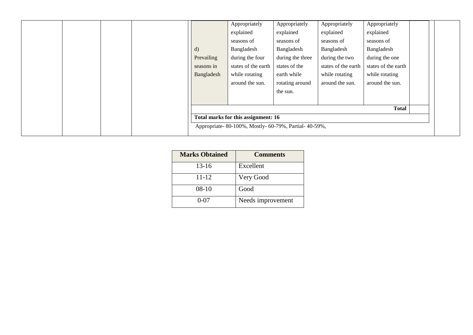|  |  |              | Appropriately                                       | Appropriately    | Appropriately       | Appropriately       |  |
|--|--|--------------|-----------------------------------------------------|------------------|---------------------|---------------------|--|
|  |  |              | explained                                           | explained        | explained           | explained           |  |
|  |  |              | seasons of                                          | seasons of       | seasons of          | seasons of          |  |
|  |  | $\mathbf{d}$ | Bangladesh                                          | Bangladesh       | Bangladesh          | Bangladesh          |  |
|  |  | Prevailing   | during the four                                     | during the three | during the two      | during the one      |  |
|  |  | seasons in   | states of the earth                                 | states of the    | states of the earth | states of the earth |  |
|  |  | Bangladesh   | while rotating                                      | earth while      | while rotating      | while rotating      |  |
|  |  |              | around the sun.                                     | rotating around  | around the sun.     | around the sun.     |  |
|  |  |              |                                                     | the sun.         |                     |                     |  |
|  |  |              |                                                     |                  |                     |                     |  |
|  |  |              |                                                     |                  |                     | <b>Total</b>        |  |
|  |  |              | Total marks for this assignment: 16                 |                  |                     |                     |  |
|  |  |              | Appropriate-80-100%, Mostly-60-79%, Partial-40-59%, |                  |                     |                     |  |
|  |  |              |                                                     |                  |                     |                     |  |

| <b>Marks Obtained</b> | <b>Comments</b>   |
|-----------------------|-------------------|
| $13 - 16$             | Excellent         |
| 11-12                 | Very Good         |
| $08-10$               | Good              |
| 0-07                  | Needs improvement |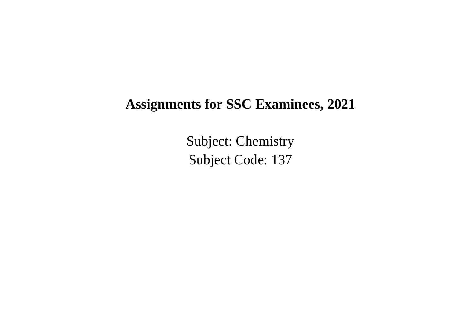Subject: Chemistry Subject Code: 137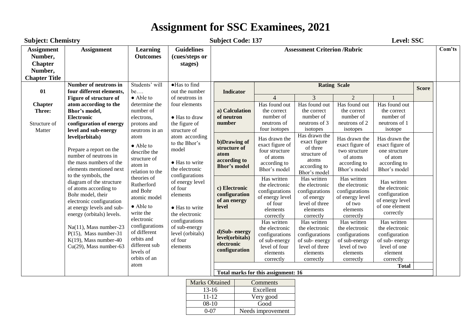| <b>Assignment</b><br><b>Guidelines</b><br><b>Assessment Criterion /Rubric</b><br><b>Assignment</b><br>Com'ts<br><b>Learning</b><br>Number,<br>(cues/steps or<br><b>Outcomes</b><br><b>Chapter</b><br>stages)<br>Number,<br><b>Chapter Title</b><br>Students' will<br>·Has to find<br><b>Rating Scale</b><br>Number of neutrons in<br><b>Score</b><br>01<br>four different elements,<br>be<br>out the number<br><b>Indicator</b><br>$\overline{3}$<br>$\overline{2}$<br>$\overline{4}$<br>• Able to<br><b>Figure of structure of</b><br>of neutrons in<br>four elements<br>atom according to the<br>determine the<br>Has found out<br>Has found out<br>Has found out<br>Has found out<br><b>Chapter</b><br>Bhor's model,<br>number of<br>a) Calculation<br>Three:<br>the correct<br>the correct<br>the correct<br>the correct<br>number of<br>number of<br>number of<br>number of<br><b>Electronic</b><br>• Has to draw<br>of neutron<br>electrons,<br>neutrons of 2<br>number<br>neutrons of<br>neutrons of 3<br>neutrons of 1<br>the figure of<br>Structure of<br>configuration of energy<br>protons and<br>four isotopes<br>isotopes<br>isotopes<br>isotope<br>Matter<br>level and sub-energy<br>structure of<br>neutrons in an<br>Has drawn the<br>level(orbitals)<br>atom according<br>atom<br>Has drawn the<br>Has drawn the<br>Has drawn the<br>b)Drawing of<br>exact figure<br>to the Bhor's<br>exact figure of<br>exact figure of<br>exact figure of<br>$\bullet$ Able to<br>of three<br>structure of<br>model<br>Prepare a report on the<br>four structure<br>two structure<br>one structure<br>describe the<br>structure of<br>atom<br>number of neutrons in<br>of atoms<br>of atoms<br>of atom<br>structure of<br>according to<br>atoms<br>the mass numbers of the<br>• Has to write<br>according to<br>according to<br>according to<br>atom in<br><b>Bhor's model</b><br>according to<br>elements mentioned next<br>the electronic<br>Bhor's model<br>Bhor's model<br>Bhor's model<br>relation to the<br>Bhor's model<br>configurations<br>to the symbols, the<br>theories of<br>Has written<br>Has written<br>Has written<br>diagram of the structure<br>Has written<br>of energy level<br>Rutherford<br>the electronic<br>the electronic<br>the electronic<br>the electronic<br>of atoms according to<br>of four<br>c) Electronic<br>and Bohr<br>configurations<br>configurations<br>configurations<br>configuration<br>configuration<br>Bohr model, their<br>elements<br>of energy level<br>of energy level<br>of energy<br>atomic model<br>of energy level<br>of an energy<br>electronic configuration<br>of four<br>level of three<br>of two<br>of one element<br>• Able to<br>level<br>at energy levels and sub-<br>• Has to write<br>elements<br>elements<br>elements<br>correctly<br>write the<br>the electronic<br>energy (orbitals) levels.<br>correctly<br>correctly<br>correctly<br>electronic<br>configurations<br>Has written<br>Has written<br>Has written<br>Has written<br>configurations<br>$Na(11)$ , Mass number-23<br>of sub-energy<br>the electronic<br>the electronic<br>the electronic<br>the electronic<br>d)Sub-energy<br>of different<br>$P(15)$ , Mass number-31<br>level (orbitals)<br>configurations<br>configurations<br>configurations<br>configuration<br>level(orbitals)<br>orbits and<br>$K(19)$ , Mass number-40<br>of four<br>of sub-energy<br>of sub-energy<br>of sub-energy<br>of sub-energy<br>electronic<br>different sub<br>$Cu(29)$ , Mass number-63<br>level of three<br>level of four<br>level of two<br>level of one<br>elements<br>configuration<br>levels of<br>elements<br>element<br>elements<br>elements<br>orbits of an<br>correctly<br>correctly<br>correctly<br>correctly<br>atom<br><b>Total</b> | <b>Subject: Chemistry</b> |  |  |  | <b>Subject Code: 137</b><br>Level: SSC |  |  |  |  |  |  |  |  |  |
|---------------------------------------------------------------------------------------------------------------------------------------------------------------------------------------------------------------------------------------------------------------------------------------------------------------------------------------------------------------------------------------------------------------------------------------------------------------------------------------------------------------------------------------------------------------------------------------------------------------------------------------------------------------------------------------------------------------------------------------------------------------------------------------------------------------------------------------------------------------------------------------------------------------------------------------------------------------------------------------------------------------------------------------------------------------------------------------------------------------------------------------------------------------------------------------------------------------------------------------------------------------------------------------------------------------------------------------------------------------------------------------------------------------------------------------------------------------------------------------------------------------------------------------------------------------------------------------------------------------------------------------------------------------------------------------------------------------------------------------------------------------------------------------------------------------------------------------------------------------------------------------------------------------------------------------------------------------------------------------------------------------------------------------------------------------------------------------------------------------------------------------------------------------------------------------------------------------------------------------------------------------------------------------------------------------------------------------------------------------------------------------------------------------------------------------------------------------------------------------------------------------------------------------------------------------------------------------------------------------------------------------------------------------------------------------------------------------------------------------------------------------------------------------------------------------------------------------------------------------------------------------------------------------------------------------------------------------------------------------------------------------------------------------------------------------------------------------------------------------------------------------------------------------------------------------------------------------------------------------------------------------------------------------------------------------------------------------------------------------------------------------------------------------------------------------------------------------------------------------------------------------------------------------------------------------------------------------------------------------------------------------------------------------------------------------------------------------------------------------------------------------------|---------------------------|--|--|--|----------------------------------------|--|--|--|--|--|--|--|--|--|
|                                                                                                                                                                                                                                                                                                                                                                                                                                                                                                                                                                                                                                                                                                                                                                                                                                                                                                                                                                                                                                                                                                                                                                                                                                                                                                                                                                                                                                                                                                                                                                                                                                                                                                                                                                                                                                                                                                                                                                                                                                                                                                                                                                                                                                                                                                                                                                                                                                                                                                                                                                                                                                                                                                                                                                                                                                                                                                                                                                                                                                                                                                                                                                                                                                                                                                                                                                                                                                                                                                                                                                                                                                                                                                                                                                     |                           |  |  |  |                                        |  |  |  |  |  |  |  |  |  |
|                                                                                                                                                                                                                                                                                                                                                                                                                                                                                                                                                                                                                                                                                                                                                                                                                                                                                                                                                                                                                                                                                                                                                                                                                                                                                                                                                                                                                                                                                                                                                                                                                                                                                                                                                                                                                                                                                                                                                                                                                                                                                                                                                                                                                                                                                                                                                                                                                                                                                                                                                                                                                                                                                                                                                                                                                                                                                                                                                                                                                                                                                                                                                                                                                                                                                                                                                                                                                                                                                                                                                                                                                                                                                                                                                                     |                           |  |  |  |                                        |  |  |  |  |  |  |  |  |  |
|                                                                                                                                                                                                                                                                                                                                                                                                                                                                                                                                                                                                                                                                                                                                                                                                                                                                                                                                                                                                                                                                                                                                                                                                                                                                                                                                                                                                                                                                                                                                                                                                                                                                                                                                                                                                                                                                                                                                                                                                                                                                                                                                                                                                                                                                                                                                                                                                                                                                                                                                                                                                                                                                                                                                                                                                                                                                                                                                                                                                                                                                                                                                                                                                                                                                                                                                                                                                                                                                                                                                                                                                                                                                                                                                                                     |                           |  |  |  |                                        |  |  |  |  |  |  |  |  |  |
|                                                                                                                                                                                                                                                                                                                                                                                                                                                                                                                                                                                                                                                                                                                                                                                                                                                                                                                                                                                                                                                                                                                                                                                                                                                                                                                                                                                                                                                                                                                                                                                                                                                                                                                                                                                                                                                                                                                                                                                                                                                                                                                                                                                                                                                                                                                                                                                                                                                                                                                                                                                                                                                                                                                                                                                                                                                                                                                                                                                                                                                                                                                                                                                                                                                                                                                                                                                                                                                                                                                                                                                                                                                                                                                                                                     |                           |  |  |  |                                        |  |  |  |  |  |  |  |  |  |
|                                                                                                                                                                                                                                                                                                                                                                                                                                                                                                                                                                                                                                                                                                                                                                                                                                                                                                                                                                                                                                                                                                                                                                                                                                                                                                                                                                                                                                                                                                                                                                                                                                                                                                                                                                                                                                                                                                                                                                                                                                                                                                                                                                                                                                                                                                                                                                                                                                                                                                                                                                                                                                                                                                                                                                                                                                                                                                                                                                                                                                                                                                                                                                                                                                                                                                                                                                                                                                                                                                                                                                                                                                                                                                                                                                     |                           |  |  |  |                                        |  |  |  |  |  |  |  |  |  |
| Total marks for this assignment: 16                                                                                                                                                                                                                                                                                                                                                                                                                                                                                                                                                                                                                                                                                                                                                                                                                                                                                                                                                                                                                                                                                                                                                                                                                                                                                                                                                                                                                                                                                                                                                                                                                                                                                                                                                                                                                                                                                                                                                                                                                                                                                                                                                                                                                                                                                                                                                                                                                                                                                                                                                                                                                                                                                                                                                                                                                                                                                                                                                                                                                                                                                                                                                                                                                                                                                                                                                                                                                                                                                                                                                                                                                                                                                                                                 |                           |  |  |  |                                        |  |  |  |  |  |  |  |  |  |

| Marks Obtained | Comments          |
|----------------|-------------------|
| $13-16$        | Excellent         |
| $11 - 12$      | Very good         |
| $08-10$        | Good              |
| በ-በ7           | Needs improvement |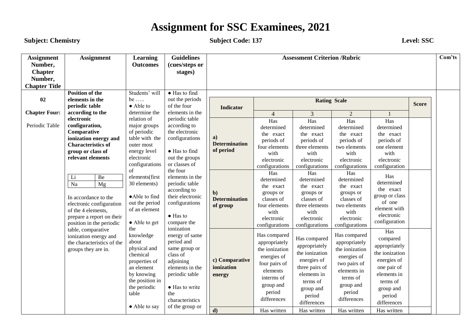#### **Subject:** Chemistry **Subject Code:** 137 Level: SSC

| <b>Assignment</b><br>Number,<br><b>Chapter</b><br>Number, | <b>Assignment</b>                                                                                                                                                                                                                                                                                      | <b>Learning</b><br><b>Outcomes</b>                                                                                                                                                                                                      | <b>Guidelines</b><br>(cues/steps or<br>stages)                                                                                                                                                                                                                   |                                                                                             |                                                                                                                                                                                                                             | <b>Assessment Criterion /Rubric</b>                                                                                                                                                                                           |                                                                                                                                                                                                                           |                                                                                                                                                                                                                 |              | Com'ts |
|-----------------------------------------------------------|--------------------------------------------------------------------------------------------------------------------------------------------------------------------------------------------------------------------------------------------------------------------------------------------------------|-----------------------------------------------------------------------------------------------------------------------------------------------------------------------------------------------------------------------------------------|------------------------------------------------------------------------------------------------------------------------------------------------------------------------------------------------------------------------------------------------------------------|---------------------------------------------------------------------------------------------|-----------------------------------------------------------------------------------------------------------------------------------------------------------------------------------------------------------------------------|-------------------------------------------------------------------------------------------------------------------------------------------------------------------------------------------------------------------------------|---------------------------------------------------------------------------------------------------------------------------------------------------------------------------------------------------------------------------|-----------------------------------------------------------------------------------------------------------------------------------------------------------------------------------------------------------------|--------------|--------|
| <b>Chapter Title</b>                                      |                                                                                                                                                                                                                                                                                                        |                                                                                                                                                                                                                                         |                                                                                                                                                                                                                                                                  |                                                                                             |                                                                                                                                                                                                                             |                                                                                                                                                                                                                               |                                                                                                                                                                                                                           |                                                                                                                                                                                                                 |              |        |
| 02                                                        | <b>Position of the</b><br>elements in the<br>periodic table                                                                                                                                                                                                                                            | Students' will<br>be $\dots$<br>• Able to                                                                                                                                                                                               | $\bullet$ Has to find<br>out the periods<br>of the four                                                                                                                                                                                                          | <b>Indicator</b>                                                                            |                                                                                                                                                                                                                             | <b>Rating Scale</b>                                                                                                                                                                                                           |                                                                                                                                                                                                                           |                                                                                                                                                                                                                 | <b>Score</b> |        |
| <b>Chapter Four:</b>                                      | according to the                                                                                                                                                                                                                                                                                       | determine the                                                                                                                                                                                                                           | elements in the                                                                                                                                                                                                                                                  |                                                                                             | $\overline{4}$                                                                                                                                                                                                              | 3                                                                                                                                                                                                                             | $\overline{2}$                                                                                                                                                                                                            |                                                                                                                                                                                                                 |              |        |
| Periodic Table                                            | electronic<br>configuration,<br>Comparative<br>ionization energy and<br><b>Characteristics of</b><br>group or class of<br>relevant elements<br>Li<br>Be<br>Na<br>Mg<br>In accordance to the<br>electronic configuration<br>of the 4 elements,<br>prepare a report on their<br>position in the periodic | relation of<br>major groups<br>of periodic<br>table with the<br>outer most<br>energy level<br>electronic<br>configurations<br>of<br>elements(first<br>30 elements)<br>·Able to find<br>out the period<br>of an element<br>• Able to get | periodic table<br>according to<br>the electronic<br>configurations<br>• Has to find<br>out the groups<br>or classes of<br>the four<br>elements in the<br>periodic table<br>according to<br>their electronic<br>configurations<br>$\bullet$ Has to<br>compare the | a)<br><b>Determination</b><br>of period<br>$\mathbf{b}$<br><b>Determination</b><br>of group | Has<br>determined<br>the exact<br>periods of<br>four elements<br>with<br>electronic<br>configurations<br>Has<br>determined<br>the exact<br>groups or<br>classes of<br>four elements<br>with<br>electronic<br>configurations | Has<br>determined<br>the exact<br>periods of<br>three elements<br>with<br>electronic<br>configurations<br>Has<br>determined<br>the exact<br>groups or<br>classes of<br>three elements<br>with<br>electronic<br>configurations | Has<br>determined<br>the exact<br>periods of<br>two elements<br>with<br>electronic<br>configurations<br>Has<br>determined<br>the exact<br>groups or<br>classes of<br>two elements<br>with<br>electronic<br>configurations | Has<br>determined<br>the exact<br>periods of<br>one element<br>with<br>electronic<br>configuration<br>Has<br>determined<br>the exact<br>group or class<br>of one<br>element with<br>electronic<br>configuration |              |        |
|                                                           | table, comparative<br>ionization energy and<br>the characteristics of the<br>groups they are in.                                                                                                                                                                                                       | the<br>knowledge<br>about<br>physical and<br>chemical<br>properties of<br>an element<br>by knowing<br>the position in<br>the periodic<br>table<br>• Able to say                                                                         | ionization<br>energy of same<br>period and<br>same group or<br>class of<br>adjoining<br>elements in the<br>periodic table<br>• Has to write<br>the<br>characteristics<br>of the group or                                                                         | c) Comparative<br>ionization<br>energy<br>$\mathbf{d}$                                      | Has compared<br>appropriately<br>the ionization<br>energies of<br>four pairs of<br>elements<br>interms of<br>group and<br>period<br>differences<br>Has written                                                              | Has compared<br>appropriately<br>the ionization<br>energies of<br>three pairs of<br>elements in<br>terms of<br>group and<br>period<br>differences<br>Has written                                                              | Has compared<br>appropriately<br>the ionization<br>energies of<br>two pairs of<br>elements in<br>terms of<br>group and<br>period<br>differences<br>Has written                                                            | Has<br>compared<br>appropriately<br>the ionization<br>energies of<br>one pair of<br>elements in<br>terms of<br>group and<br>period<br>differences<br>Has written                                                |              |        |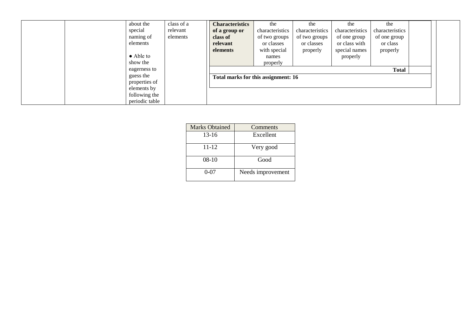| about the         | class of a | <b>Characteristics</b>              | the             | the             | the             | the             |  |
|-------------------|------------|-------------------------------------|-----------------|-----------------|-----------------|-----------------|--|
| special           | relevant   | of a group or                       | characteristics | characteristics | characteristics | characteristics |  |
| naming of         | elements   | class of                            | of two groups   | of two groups   | of one group    | of one group    |  |
| elements          |            | relevant                            | or classes      | or classes      | or class with   | or class        |  |
|                   |            | elements                            | with special    | properly        | special names   | properly        |  |
| $\bullet$ Able to |            |                                     | names           |                 | properly        |                 |  |
| show the          |            |                                     | properly        |                 |                 |                 |  |
| eagerness to      |            |                                     |                 |                 |                 | <b>Total</b>    |  |
| guess the         |            | Total marks for this assignment: 16 |                 |                 |                 |                 |  |
| properties of     |            |                                     |                 |                 |                 |                 |  |
| elements by       |            |                                     |                 |                 |                 |                 |  |
| following the     |            |                                     |                 |                 |                 |                 |  |
| periodic table    |            |                                     |                 |                 |                 |                 |  |

| <b>Marks Obtained</b> | Comments          |  |
|-----------------------|-------------------|--|
| $13-16$               | Excellent         |  |
| $11 - 12$             | Very good         |  |
| $08-10$               | Good              |  |
| $0 - 07$              | Needs improvement |  |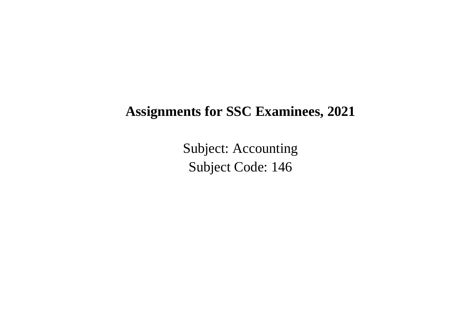Subject: Accounting Subject Code: 146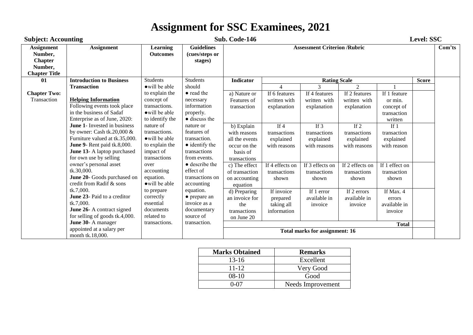| <b>Subject: Accounting</b>                                                        |                                                                                                                                                                                        |                                                                                             |                                                                                                    | Sub. Code-146                                                                            |                                                     |                                                     |                                                     |                                                   | <b>Level: SSC</b> |        |
|-----------------------------------------------------------------------------------|----------------------------------------------------------------------------------------------------------------------------------------------------------------------------------------|---------------------------------------------------------------------------------------------|----------------------------------------------------------------------------------------------------|------------------------------------------------------------------------------------------|-----------------------------------------------------|-----------------------------------------------------|-----------------------------------------------------|---------------------------------------------------|-------------------|--------|
| <b>Assignment</b><br>Number,<br><b>Chapter</b><br>Number,<br><b>Chapter Title</b> | <b>Assignment</b>                                                                                                                                                                      | <b>Learning</b><br><b>Outcomes</b>                                                          | <b>Guidelines</b><br>(cues/steps or<br>stages)                                                     |                                                                                          |                                                     | <b>Assessment Criterion /Rubric</b>                 |                                                     |                                                   |                   | Com'ts |
| 01                                                                                | <b>Introduction to Business</b>                                                                                                                                                        | <b>Students</b>                                                                             | <b>Students</b>                                                                                    | Indicator                                                                                |                                                     | <b>Rating Scale</b>                                 |                                                     |                                                   | <b>Score</b>      |        |
|                                                                                   | <b>Transaction</b>                                                                                                                                                                     | owill be able                                                                               | should                                                                                             |                                                                                          | $\overline{A}$                                      | 3                                                   | $\mathfrak{D}$                                      |                                                   |                   |        |
| <b>Chapter Two:</b>                                                               |                                                                                                                                                                                        | to explain the                                                                              | • read the                                                                                         | a) Nature or                                                                             | If 6 features                                       | If 4 features                                       | If 2 features                                       | If 1 feature                                      |                   |        |
| Transaction                                                                       | <b>Helping Information</b><br>Following events took place<br>in the business of Sadaf<br>Enterprise as of June, 2020:                                                                  | concept of<br>transactions.<br>• will be able<br>to identify the                            | necessary<br>information<br>properly.<br>• discuss the                                             | Features of<br>transaction                                                               | written with<br>explanation                         | written with<br>explanation                         | written with<br>explanation                         | or min.<br>concept of<br>transaction<br>written   |                   |        |
|                                                                                   | June 1- Invested in business<br>by owner: Cash tk.20,000 $&$<br>Furniture valued at tk.35,000.<br>June 9- Rent paid tk.8,000.<br>June 13- A laptop purchased<br>for own use by selling | nature of<br>transactions.<br>• will be able<br>to explain the<br>impact of<br>transactions | nature or<br>features of<br>transaction.<br>$\bullet$ identify the<br>transactions<br>from events. | b) Explain<br>with reasons<br>all the events<br>occur on the<br>basis of<br>transactions | If $4$<br>transactions<br>explained<br>with reasons | If $3$<br>transactions<br>explained<br>with reasons | If $2$<br>transactions<br>explained<br>with reasons | If $1$<br>transaction<br>explained<br>with reason |                   |        |
|                                                                                   | owner's personal asset<br>tk.30,000.<br>June 20- Goods purchased on<br>credit from Radif & sons                                                                                        | over<br>accounting<br>equation.<br>• will be able                                           | $\bullet$ describe the<br>effect of<br>transactions on<br>accounting                               | c) The effect<br>of transaction<br>on accounting<br>equation                             | If 4 effects on<br>transactions<br>shown            | If 3 effects on<br>transactions<br>shown            | If 2 effects on<br>transactions<br>shown            | If 1 effect on<br>transaction<br>shown            |                   |        |
|                                                                                   | tk.7,000.<br><b>June 23-</b> Paid to a creditor<br>tk.7,000.<br>June 26- A contract signed<br>for selling of goods tk.4,000.                                                           | to prepare<br>correctly<br>essential<br>documents<br>related to                             | equation.<br>• prepare an<br>invoice as a<br>documentary<br>source of                              | d) Preparing<br>an invoice for<br>the<br>transactions<br>on June 20                      | If invoice<br>prepared<br>taking all<br>information | If 1 error<br>available in<br>invoice               | If $2$ errors<br>available in<br>invoice            | If Max. 4<br>errors<br>available in<br>invoice    |                   |        |
|                                                                                   | June 30- A manager                                                                                                                                                                     | transactions.                                                                               | transaction.                                                                                       |                                                                                          |                                                     |                                                     |                                                     | <b>Total</b>                                      |                   |        |
|                                                                                   | appointed at a salary per<br>month tk.18,000.                                                                                                                                          |                                                                                             |                                                                                                    |                                                                                          |                                                     | <b>Total marks for assignment: 16</b>               |                                                     |                                                   |                   |        |

| <b>Marks Obtained</b> | <b>Remarks</b>    |
|-----------------------|-------------------|
| $13 - 16$             | Excellent         |
| $11 - 12$             | Very Good         |
| $08-10$               | Good              |
|                       | Needs Improvement |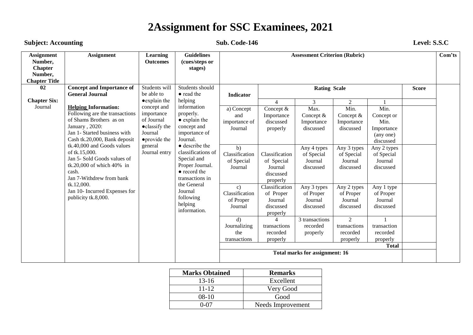#### **Sub. Code-146** Level: S.S.C

| <b>Assignment</b><br>Number,<br><b>Chapter</b><br>Number,<br><b>Chapter Title</b> | <b>Assignment</b>                                                                                                                                                                                                                                                                                                                                                                                   | Learning<br><b>Outcomes</b>                                                                                       | <b>Guidelines</b><br>(cues/steps or<br>stages)                                                                                                                                                                                                                       |                                                                                                                                                                                                        |                                                                                                                                                                                                                                                   | <b>Assessment Criterion (Rubric)</b>                                                                                                                                                                                                     |                                                                                                                                                                                                                        |                                                                                                                                                                                                                                   |              | Com'ts |
|-----------------------------------------------------------------------------------|-----------------------------------------------------------------------------------------------------------------------------------------------------------------------------------------------------------------------------------------------------------------------------------------------------------------------------------------------------------------------------------------------------|-------------------------------------------------------------------------------------------------------------------|----------------------------------------------------------------------------------------------------------------------------------------------------------------------------------------------------------------------------------------------------------------------|--------------------------------------------------------------------------------------------------------------------------------------------------------------------------------------------------------|---------------------------------------------------------------------------------------------------------------------------------------------------------------------------------------------------------------------------------------------------|------------------------------------------------------------------------------------------------------------------------------------------------------------------------------------------------------------------------------------------|------------------------------------------------------------------------------------------------------------------------------------------------------------------------------------------------------------------------|-----------------------------------------------------------------------------------------------------------------------------------------------------------------------------------------------------------------------------------|--------------|--------|
| 02<br><b>Chapter Six:</b>                                                         | <b>Concept and Importance of</b><br><b>General Journal</b>                                                                                                                                                                                                                                                                                                                                          | Students will<br>be able to<br>• explain the                                                                      | Students should<br>• read the<br>helping                                                                                                                                                                                                                             | <b>Indicator</b>                                                                                                                                                                                       |                                                                                                                                                                                                                                                   | <b>Rating Scale</b>                                                                                                                                                                                                                      |                                                                                                                                                                                                                        |                                                                                                                                                                                                                                   | <b>Score</b> |        |
| Journal                                                                           | <b>Helping Information:</b><br>Following are the transactions<br>of Shams Brothers as on<br>January, 2020:<br>Jan 1- Started business with<br>Cash tk.20,000, Bank deposit<br>tk.40,000 and Goods values<br>of tk.15,000.<br>Jan 5- Sold Goods values of<br>tk.20,000 of which $40\%$ in<br>cash.<br>Jan 7-Withdrew from bank<br>tk.12,000.<br>Jan 10- Incurred Expenses for<br>publicity tk.8,000. | concept and<br>importance<br>of Journal<br>• classify the<br>Journal<br>• provide the<br>general<br>Journal entry | information<br>properly.<br>• explain the<br>concept and<br>importance of<br>Journal.<br>• describe the<br>classifications of<br>Special and<br>Proper Journal.<br>• record the<br>transactions in<br>the General<br>Journal<br>following<br>helping<br>information. | a) Concept<br>and<br>importance of<br>Journal<br>b)<br>Classification<br>of Special<br>Journal<br>$\mathbf{c})$<br>Classification<br>of Proper<br>Journal<br>d)<br>Journalizing<br>the<br>transactions | $\overline{4}$<br>Concept &<br>Importance<br>discussed<br>properly<br>Classification<br>of Special<br>Journal<br>discussed<br>properly<br>Classification<br>of Proper<br>Journal<br>discussed<br>properly<br>transactions<br>recorded<br>properly | 3<br>Max.<br>Concept $&$<br>Importance<br>discussed<br>Any 4 types<br>of Special<br>Journal<br>discussed<br>Any 3 types<br>of Proper<br>Journal<br>discussed<br>3 transactions<br>recorded<br>properly<br>Total marks for assignment: 16 | 2<br>Min.<br>Concept $&$<br>Importance<br>discussed<br>Any 3 types<br>of Special<br>Journal<br>discussed<br>Any 2 types<br>of Proper<br>Journal<br>discussed<br>$\overline{2}$<br>transactions<br>recorded<br>properly | Min.<br>Concept or<br>Min.<br>Importance<br>(any one)<br>discussed<br>Any 2 types<br>of Special<br>Journal<br>discussed<br>Any 1 type<br>of Proper<br>Journal<br>discussed<br>transaction<br>recorded<br>properly<br><b>Total</b> |              |        |

| <b>Marks Obtained</b> | <b>Remarks</b>    |
|-----------------------|-------------------|
| $13 - 16$             | Excellent         |
| $11 - 12$             | Very Good         |
| $08-10$               | Good              |
| በ-በ7                  | Needs Improvement |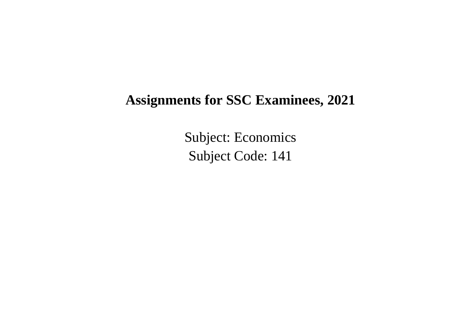Subject: Economics Subject Code: 141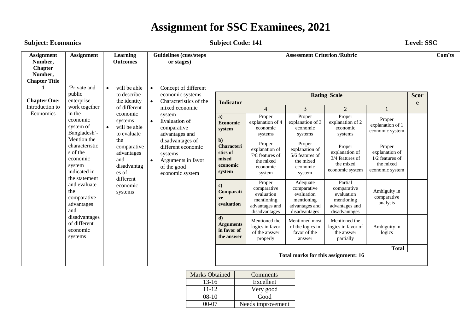#### **Subject: Economics Subject Code: 141** Level: SSC

| <b>Assignment</b><br>Number,<br><b>Chapter</b><br>Number,<br><b>Chapter Title</b> | <b>Assignment</b>                                                                                | <b>Learning</b><br><b>Outcomes</b>                                                                                                                                                                                                                                                                                                                        | <b>Guidelines (cues/steps</b><br>or stages)                                                                    |                                               |                                                                                      | <b>Assessment Criterion /Rubric</b>                                                    |                                                                                       |                                                                                             |                                                                             | Com'ts                                                                        |                                                   |                                               |  |  |
|-----------------------------------------------------------------------------------|--------------------------------------------------------------------------------------------------|-----------------------------------------------------------------------------------------------------------------------------------------------------------------------------------------------------------------------------------------------------------------------------------------------------------------------------------------------------------|----------------------------------------------------------------------------------------------------------------|-----------------------------------------------|--------------------------------------------------------------------------------------|----------------------------------------------------------------------------------------|---------------------------------------------------------------------------------------|---------------------------------------------------------------------------------------------|-----------------------------------------------------------------------------|-------------------------------------------------------------------------------|---------------------------------------------------|-----------------------------------------------|--|--|
| <b>Chapter One:</b><br>Introduction to                                            | 'Private and<br>public<br>enterprise<br>work together                                            | will be able<br>$\bullet$<br>to describe<br>the identity<br>of different                                                                                                                                                                                                                                                                                  | Concept of different<br>$\bullet$<br>economic systems<br>Characteristics of the<br>$\bullet$<br>mixed economic | <b>Indicator</b>                              | $\overline{4}$                                                                       | $\overline{3}$                                                                         | <b>Rating Scale</b><br>$\overline{2}$                                                 |                                                                                             | <b>Scor</b><br>e                                                            |                                                                               |                                                   |                                               |  |  |
| Economics                                                                         | in the<br>economic<br>system of<br>Bangladesh'-                                                  | economic<br>system<br><b>Evaluation</b> of<br>systems<br>$\bullet$<br>will be able<br>$\bullet$<br>comparative<br>to evaluate<br>advantages and<br>the<br>disadvantages of<br>comparative<br>different economic<br>advantages<br>systems<br>and<br>Arguments in favor<br>$\bullet$<br>disadvantag<br>of the good<br>es of<br>economic system<br>different |                                                                                                                |                                               |                                                                                      |                                                                                        |                                                                                       | a)<br>Economic<br>system                                                                    | Proper<br>explanation of 4<br>economic<br>systems                           | Proper<br>explanation of 3<br>economic<br>systems                             | Proper<br>explanation of 2<br>economic<br>systems | Proper<br>explanation of 1<br>economic system |  |  |
|                                                                                   | Mention the<br>characteristic<br>s of the<br>economic<br>system<br>indicated in<br>the statement |                                                                                                                                                                                                                                                                                                                                                           |                                                                                                                |                                               |                                                                                      | $\mathbf{b}$<br><b>Characteri</b><br>stics of<br>mixed<br>economic<br>system           | Proper<br>explanation of<br>7/8 features of<br>the mixed<br>economic<br>system        | Proper<br>explanation of<br>$5/\overline{6}$ features of<br>the mixed<br>economic<br>system | Proper<br>explanation of<br>3/4 features of<br>the mixed<br>economic system | Proper<br>explanation of<br>$1/2$ features of<br>the mixed<br>economic system |                                                   |                                               |  |  |
|                                                                                   | and evaluate<br>the<br>comparative<br>advantages<br>and                                          | economic<br>systems                                                                                                                                                                                                                                                                                                                                       |                                                                                                                | $\mathbf{c}$<br>Comparati<br>ve<br>evaluation | Proper<br>comparative<br>evaluation<br>mentioning<br>advantages and<br>disadvantages | Adequate<br>comparative<br>evaluation<br>mentioning<br>advantages and<br>disadvantages | Partial<br>comparative<br>evaluation<br>mentioning<br>advantages and<br>disadvantages | Ambiguity in<br>comparative<br>analysis                                                     |                                                                             |                                                                               |                                                   |                                               |  |  |
|                                                                                   | disadvantages<br>of different<br>economic<br>systems                                             |                                                                                                                                                                                                                                                                                                                                                           |                                                                                                                |                                               |                                                                                      | $\mathbf{d}$<br><b>Arguments</b><br>in favor of<br>the answer                          | Mentioned the<br>logics in favor<br>of the answer<br>properly                         | Mentioned most<br>of the logics in<br>favor of the<br>answer                                | Mentioned the<br>logics in favor of<br>the answer<br>partially              | Ambiguity in<br>logics                                                        |                                                   |                                               |  |  |
|                                                                                   |                                                                                                  |                                                                                                                                                                                                                                                                                                                                                           |                                                                                                                |                                               |                                                                                      |                                                                                        | Total marks for this assignment: 16                                                   | <b>Total</b>                                                                                |                                                                             |                                                                               |                                                   |                                               |  |  |

| <b>Marks Obtained</b> | Comments          |
|-----------------------|-------------------|
| $13-16$               | Excellent         |
| $11 - 12$             | Very good         |
| $08-10$               | Good              |
| 00-07                 | Needs improvement |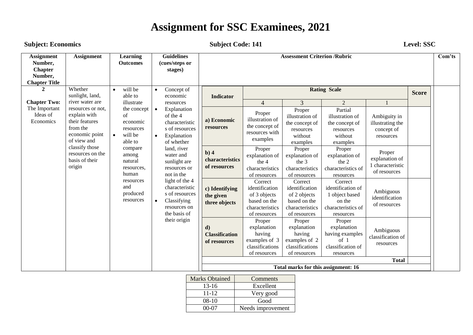### **Subject: Economics Subject Code: 141 Level: SSC**

| <b>Assignment</b><br>Number,<br><b>Chapter</b><br>Number,<br><b>Chapter Title</b> | <b>Assignment</b>                                                                                | Learning<br><b>Outcomes</b>                                                   | <b>Guidelines</b><br>(cues/steps or<br>stages)                                                                     |                                                       |                                                                                              | <b>Assessment Criterion /Rubric</b>                                                          |                                                                                             |                                                              |              | Com'ts |
|-----------------------------------------------------------------------------------|--------------------------------------------------------------------------------------------------|-------------------------------------------------------------------------------|--------------------------------------------------------------------------------------------------------------------|-------------------------------------------------------|----------------------------------------------------------------------------------------------|----------------------------------------------------------------------------------------------|---------------------------------------------------------------------------------------------|--------------------------------------------------------------|--------------|--------|
| 2                                                                                 | Whether<br>sunlight, land,                                                                       | will be<br>$\bullet$<br>able to                                               | Concept of<br>$\bullet$<br>economic                                                                                | <b>Indicator</b>                                      |                                                                                              |                                                                                              | <b>Rating Scale</b>                                                                         |                                                              | <b>Score</b> |        |
| <b>Chapter Two:</b>                                                               | river water are                                                                                  | illustrate                                                                    | resources                                                                                                          |                                                       | $\overline{4}$                                                                               | $\overline{3}$                                                                               | 2                                                                                           |                                                              |              |        |
| The Important<br>Ideas of<br>Economics                                            | resources or not,<br>explain with<br>their features<br>from the<br>economic point<br>of view and | the concept<br>of<br>economic<br>resources<br>will be<br>$\bullet$<br>able to | Explanation<br>$\bullet$<br>of the 4<br>characteristic<br>s of resources<br>Explanation<br>$\bullet$<br>of whether | a) Economic<br>resources                              | Proper<br>illustration of<br>the concept of<br>resources with<br>examples                    | Proper<br>illustration of<br>the concept of<br>resources<br>without<br>examples              | Partial<br>illustration of<br>the concept of<br>resources<br>without<br>examples            | Ambiguity in<br>illustrating the<br>concept of<br>resources  |              |        |
|                                                                                   | classify those<br>resources on the<br>basis of their<br>origin                                   | compare<br>among<br>natural<br>resources,<br>human                            | land, river<br>water and<br>sunlight are<br>resources or<br>not in the                                             | b)4<br>characteristics<br>of resources                | Proper<br>explanation of<br>the 4<br>characteristics<br>of resources                         | Proper<br>explanation of<br>the 3<br>characteristics<br>of resources                         | Proper<br>explanation of<br>the 2<br>characteristics of<br>resources                        | Proper<br>explanation of<br>1 characteristic<br>of resources |              |        |
|                                                                                   |                                                                                                  | resources<br>and<br>produced<br>resources                                     | light of the 4<br>characteristic<br>s of resources<br>Classifying<br>$\bullet$<br>resources on<br>the basis of     | c) Identifying<br>the given<br>three objects          | Correct<br>identification<br>of 3 objects<br>based on the<br>characteristics<br>of resources | Correct<br>identification<br>of 2 objects<br>based on the<br>characteristics<br>of resources | Correct<br>identification of<br>1 object based<br>on the<br>characteristics of<br>resources | Ambiguous<br>identification<br>of resources                  |              |        |
|                                                                                   |                                                                                                  |                                                                               | their origin                                                                                                       | $\mathbf{d}$<br><b>Classification</b><br>of resources | Proper<br>explanation<br>having<br>examples of 3<br>classifications<br>of resources          | Proper<br>explanation<br>having<br>examples of 2<br>classifications<br>of resources          | Proper<br>explanation<br>having examples<br>of 1<br>classification of<br>resources          | Ambiguous<br>classification of<br>resources                  |              |        |
|                                                                                   |                                                                                                  |                                                                               |                                                                                                                    |                                                       |                                                                                              |                                                                                              |                                                                                             | <b>Total</b>                                                 |              |        |
|                                                                                   |                                                                                                  |                                                                               |                                                                                                                    |                                                       |                                                                                              | Total marks for this assignment: 16                                                          |                                                                                             |                                                              |              |        |

| <b>Marks Obtained</b> | Comments          |
|-----------------------|-------------------|
| $13-16$               | Excellent         |
| 11-12                 | Very good         |
| $08-10$               | Good              |
| 00-07                 | Needs improvement |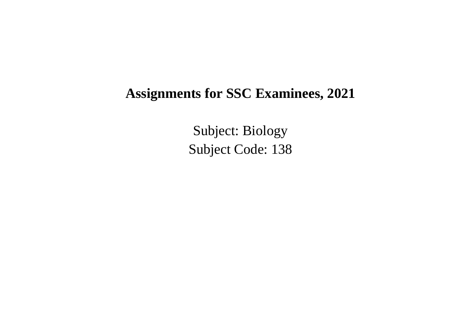Subject: Biology Subject Code: 138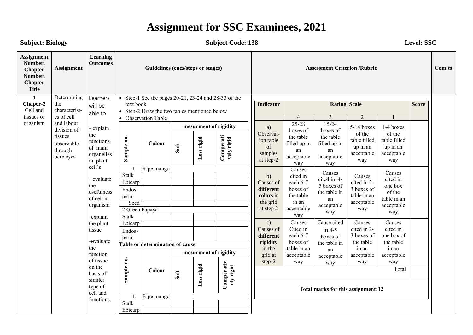**Subject: Biology Subject Code: 138 Level: SSC** 

| <b>Assignment</b><br>Number,<br><b>Chapter</b><br>Number,<br><b>Chapter</b><br><b>Title</b> | <b>Assignment</b>                             | <b>Learning</b><br><b>Outcomes</b>                                  |            |                                                             |      | Guidelines (cues/steps or stages) |                         | <b>Assessment Criterion /Rubric</b>                  |                                                      |                                                      |                                                         |                                                         |                           | Com'ts                |                     |  |  |
|---------------------------------------------------------------------------------------------|-----------------------------------------------|---------------------------------------------------------------------|------------|-------------------------------------------------------------|------|-----------------------------------|-------------------------|------------------------------------------------------|------------------------------------------------------|------------------------------------------------------|---------------------------------------------------------|---------------------------------------------------------|---------------------------|-----------------------|---------------------|--|--|
| $\mathbf{1}$<br>Chaper-2                                                                    | Determining<br>the                            | Learners                                                            | text book  | • Step-1 See the pages $20-21$ , $23-24$ and $28-33$ of the |      |                                   |                         | <b>Indicator</b><br><b>Rating Scale</b>              |                                                      |                                                      |                                                         |                                                         | <b>Score</b>              |                       |                     |  |  |
| Cell and                                                                                    | characterist-                                 | will be                                                             | $\bullet$  | Step-2 Draw the two tables mentioned below                  |      |                                   |                         |                                                      |                                                      |                                                      |                                                         |                                                         |                           |                       |                     |  |  |
| tissues of                                                                                  | cs of cell                                    | able to                                                             |            | • Observation Table                                         |      |                                   |                         |                                                      | $\overline{3}$<br>$\overline{2}$<br>$\overline{4}$   |                                                      |                                                         |                                                         |                           |                       |                     |  |  |
| organism                                                                                    | and labour<br>division of                     | - explain                                                           |            |                                                             |      | mesurment of rigidity             |                         | a)                                                   | $25 - 28$<br>boxes of                                | $15 - 24$<br>boxes of                                | 5-14 boxes                                              | 1-4 boxes                                               |                           |                       |                     |  |  |
|                                                                                             | tissues<br>observable<br>through<br>bare eyes | the<br>Sample no.<br>functions<br>of main<br>organelles<br>in plant |            | Colour                                                      | Soft | Less rigid                        | Comperati<br>vely rigid | Observat-<br>ion table<br>of<br>samples<br>at step-2 | the table<br>filled up in<br>an<br>acceptable<br>way | the table<br>filled up in<br>an<br>acceptable<br>way | of the<br>table filled<br>up in an<br>acceptable<br>way | of the<br>table filled<br>up in an<br>acceptable<br>way |                           |                       |                     |  |  |
|                                                                                             |                                               | cell's                                                              | 1.         | Ripe mango-<br>Stalk                                        |      |                                   |                         | Causes                                               | Causes                                               |                                                      | Causes                                                  |                                                         |                           |                       |                     |  |  |
|                                                                                             | - evaluate<br>the<br>usefulness               |                                                                     |            |                                                             |      | Epicarp                           |                         |                                                      |                                                      |                                                      | b)<br>Causes of                                         | cited in<br>each 6-7                                    | cited in 4-<br>5 boxes of | Causes<br>cited in 2- | cited in<br>one box |  |  |
|                                                                                             |                                               | of cell in<br>organism<br>-explain<br>the plant                     |            | Endos-<br>perm                                              |      |                                   |                         |                                                      | boxes of<br>different<br>colors in<br>the table      | the table in<br>an                                   | 3 boxes of<br>of the<br>table in an<br>table in an      |                                                         |                           |                       |                     |  |  |
|                                                                                             |                                               |                                                                     | Seed       |                                                             |      |                                   |                         | the grid<br>at step 2                                | in an<br>acceptable                                  | acceptable                                           | acceptable                                              | acceptable                                              |                           |                       |                     |  |  |
|                                                                                             |                                               |                                                                     |            | 2. Green Papaya<br><b>Stalk</b>                             |      |                                   |                         |                                                      | way                                                  | way<br>way                                           | way                                                     |                                                         |                           |                       |                     |  |  |
|                                                                                             |                                               |                                                                     | Epicarp    |                                                             |      |                                   |                         | c)                                                   | Causes                                               | Cause cited                                          | Causes                                                  | Causes                                                  |                           |                       |                     |  |  |
|                                                                                             |                                               | tissue                                                              | Endos-     |                                                             |      |                                   |                         | Causes of                                            | Cited in                                             | in $4-5$                                             | cited in 2-                                             | cited in                                                |                           |                       |                     |  |  |
|                                                                                             |                                               | -evaluate                                                           | perm       |                                                             |      |                                   |                         | different                                            | each 6-7                                             | boxes of                                             | 3 boxes of                                              | one box of                                              |                           |                       |                     |  |  |
|                                                                                             |                                               | the                                                                 |            | Table or determination of cause                             |      |                                   |                         | rigidity<br>in the                                   | boxes of<br>table in an                              | the table in<br>an                                   | the table<br>in an                                      | the table<br>in an                                      |                           |                       |                     |  |  |
|                                                                                             |                                               | function                                                            |            |                                                             |      | mesurment of rigidity             |                         | grid at                                              | acceptable                                           | acceptable                                           | acceptable                                              | acceptable                                              |                           |                       |                     |  |  |
|                                                                                             |                                               | of tissue<br>on the                                                 |            |                                                             |      |                                   |                         | step-2                                               | way                                                  | way                                                  | way                                                     | way                                                     |                           |                       |                     |  |  |
|                                                                                             |                                               | basis of                                                            | Sample no. | Colour                                                      | Soft | Less rigid                        |                         |                                                      | Total                                                |                                                      |                                                         |                                                         |                           |                       |                     |  |  |
|                                                                                             |                                               | similer                                                             |            |                                                             |      |                                   | Comperativ<br>ely rigid |                                                      |                                                      |                                                      |                                                         |                                                         |                           |                       |                     |  |  |
|                                                                                             |                                               | type of<br>cell and                                                 |            |                                                             |      |                                   |                         |                                                      |                                                      | Total marks for this assignment:12                   |                                                         |                                                         |                           |                       |                     |  |  |
|                                                                                             |                                               |                                                                     | 1.         | Ripe mango-                                                 |      |                                   |                         |                                                      |                                                      |                                                      |                                                         |                                                         |                           |                       |                     |  |  |
|                                                                                             |                                               | functions.                                                          | Stalk      |                                                             |      |                                   |                         |                                                      |                                                      |                                                      |                                                         |                                                         |                           |                       |                     |  |  |
|                                                                                             |                                               |                                                                     | Epicarp    |                                                             |      |                                   |                         |                                                      |                                                      |                                                      |                                                         |                                                         |                           |                       |                     |  |  |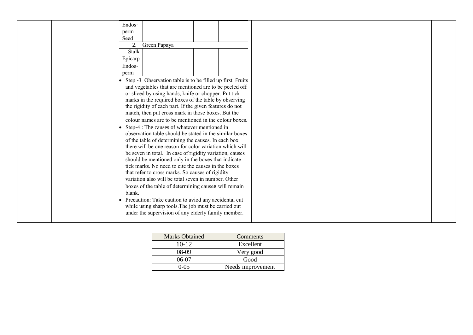|  | Endos-                                                       |  |  |  |  |
|--|--------------------------------------------------------------|--|--|--|--|
|  | perm                                                         |  |  |  |  |
|  | Seed                                                         |  |  |  |  |
|  | 2.<br>Green Papaya                                           |  |  |  |  |
|  | Stalk                                                        |  |  |  |  |
|  | Epicarp                                                      |  |  |  |  |
|  | Endos-                                                       |  |  |  |  |
|  | perm                                                         |  |  |  |  |
|  | • Step -3 Observation table is to be filled up first. Fruits |  |  |  |  |
|  | and vegetables that are mentioned are to be peeled off       |  |  |  |  |
|  | or sliced by using hands, knife or chopper. Put tick         |  |  |  |  |
|  | marks in the required boxes of the table by observing        |  |  |  |  |
|  | the rigidity of each part. If the given features do not      |  |  |  |  |
|  | match, then put cross mark in those boxes. But the           |  |  |  |  |
|  | colour names are to be mentioned in the colour boxes.        |  |  |  |  |
|  | • Step-4 : The causes of whatever mentioned in               |  |  |  |  |
|  | observation table should be stated in the similar boxes      |  |  |  |  |
|  | of the table of determining the causes. In each box          |  |  |  |  |
|  | there will be one reason for color variation which will      |  |  |  |  |
|  | be seven in total. In case of rigidity variation, causes     |  |  |  |  |
|  | should be mentioned only in the boxes that indicate          |  |  |  |  |
|  | tick marks. No need to cite the causes in the boxes          |  |  |  |  |
|  | that refer to cross marks. So causes of rigidity             |  |  |  |  |
|  | variation also will be total seven in number. Other          |  |  |  |  |
|  | boxes of the table of determining causes will remain         |  |  |  |  |
|  | blank.                                                       |  |  |  |  |
|  | • Precaution: Take caution to aviod any accidental cut       |  |  |  |  |
|  | while using sharp tools. The job must be carried out         |  |  |  |  |
|  | under the supervision of any elderly family member.          |  |  |  |  |
|  |                                                              |  |  |  |  |

| <b>Marks Obtained</b> | Comments          |
|-----------------------|-------------------|
| $10 - 12$             | Excellent         |
| 08-09                 | Very good         |
| 06-07                 | Good              |
| 0-05                  | Needs improvement |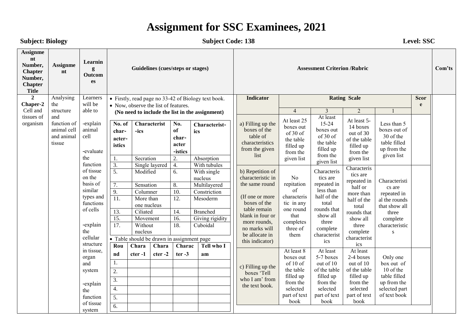#### Subject: Biology **Subject Code: 138** Level: SSC **Assignme nt Number, Chapter Number, Chapter Title Assignme nt Learnin g Outcom es Guidelines (cues/steps or stages) Assessment Criterion /Rubric Com'ts 2 Chaper-2** Cell and tissues of organism Analysing the structure and function of animal cell and animal tissue Learners will be able to -explain animal cell -evaluate the function of tissue on the basis of similar types and functions of cells -explain the cellular structure in tissue, organ and system Firstly, read page no 33-42 of Biology text book. • Now, observe the list of features. **(No need to include the list in the assignment) No. of characteristics Characterist -ics No. of character -istics Characteristics** 1. Secration 2. Absorption 3. Single layered 4. With tubules 5. Modified 6. With single nucleus 7. Sensation 8. Multilayered 9. Columner 10. Constriction 11. More than one nucleus 12. Mesoderm 13. Ciliated 14. Branched 15. Movement 16. Giving rigidity 17. Without nucleus 18. Cuboidal • Table should be drawn in assignment page **Rou nd Chara cter -1 Chara cter -2 Charac ter -3 Tell who I am** 1. 2. 3. **Indicator Rating Scale Rating Scale Scor e** 4 | 3 | 2 | 1 a) Filling up the boxes of the table of characteristics from the given list At least 25 boxes out of 30 of the table filled up from the given list At least 15-24 boxes out of 30 of the table filled up from the given list At least 5- 14 boxes out of 30 of the table filled up from the given list Less than 5 boxes out of 30 of the table filled up from the given list b) Repetition of characteristic in the same round (If one or more boxes of the table remain blank in four or more rounds, no marks will be allocate in this indicator) No repitation of characteris tic in any one round that completes three of them Characteris tics are repeated in less than half of the total rounds that show all three complete characterist ics **Characteris** tics are repeated in half or more than half of the total rounds that show all three complete characterist ics Characteristi cs are repeated in al the rounds that show all three complete characteristic s c) Filling up the boxes "Tell who I am' from At least 8 boxes out  $of 10 of$ the table filled up At least 5-7 boxes out of 10 of the table filled up At least 2-4 boxes out of 10 of the table filled up Only one box out of 10 of the table filled up from the

the text book.

from the selected part of text book

from the selected part of text book

from the selected part of text book

selected part of text book

-explain the function of tissue system

4. 5. 6.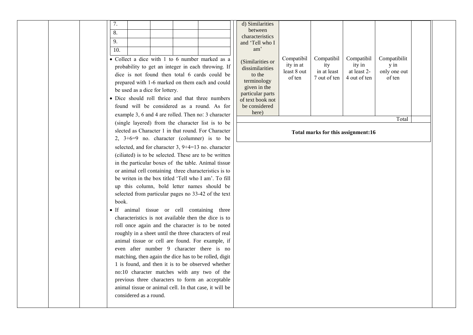|     |  |  | × |
|-----|--|--|---|
| 10. |  |  |   |

- Collect a dice with 1 to 6 number marked as a probability to get an integer in each throwing. If dice is not found then total 6 cards could be prepared with 1-6 marked on them each and could be used as a dice for lottery.
- Dice should roll thrice and that three numbers found will be considered as a round. As for example 3, 6 and 4 are rolled. Then no: 3 character (single layered) from the character list is to be slected as Character 1 in that round. For Character 2, 3+6=9 no. character (columner) is to be selected, and for character 3, 9+4=13 no. character (ciliated) is to be selected. These are to be written in the particular boxes of the table. Animal tissue or animal cell containing three characteristics is to be writen in the box titled 'Tell who I am'. To fill up this column, bold letter names should be selected from particular pages no 33-42 of the text book.
- If animal tissue or cell containing three characteristics is not available then the dice is to roll once again and the character is to be noted roughly in a sheet until the three characters of real animal tissue or cell are found. For example, if even after number 9 character there is no matching, then again the dice has to be rolled, digit 1 is found, and then it is to be observed whether no:10 character matches with any two of the previous three characters to form an acceptable animal tissue or animal cell. In that case, it will be considered as a round.

| characteristics<br>and 'Tell who I<br>am'<br>(Similarities or<br>dissimilarities<br>to the<br>terminology<br>given in the<br>particular parts<br>of text book not<br>be considered | Compatibil<br>ity in at<br>least 8 out<br>of ten | Compatibil<br>ity<br>in at least<br>7 out of ten | Compatibil<br>ity in<br>at least 2-<br>4 out of ten | Compatibilit<br>$y$ in<br>only one out<br>of ten |  |
|------------------------------------------------------------------------------------------------------------------------------------------------------------------------------------|--------------------------------------------------|--------------------------------------------------|-----------------------------------------------------|--------------------------------------------------|--|
| here)                                                                                                                                                                              |                                                  |                                                  |                                                     | Total                                            |  |

**Total marks for this assignment:16**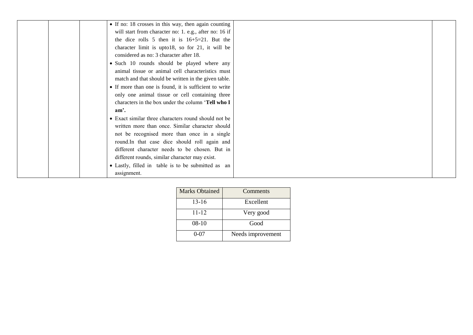| • If no: 18 crosses in this way, then again counting   |  |
|--------------------------------------------------------|--|
| will start from character no: 1. e.g., after no: 16 if |  |
| the dice rolls 5 then it is $16+5=21$ . But the        |  |
| character limit is upto18, so for 21, it will be       |  |
| considered as no: 3 character after 18.                |  |
| • Such 10 rounds should be played where any            |  |
| animal tissue or animal cell characteristics must      |  |
| match and that should be written in the given table.   |  |
| • If more than one is found, it is sufficient to write |  |
| only one animal tissue or cell containing three        |  |
| characters in the box under the column 'Tell who I     |  |
| $am2$ .                                                |  |
| • Exact similar three characters round should not be   |  |
| written more than once. Similar character should       |  |
| not be recognised more than once in a single           |  |
| round.In that case dice should roll again and          |  |
| different character needs to be chosen. But in         |  |
| different rounds, similar character may exist.         |  |
| • Lastly, filled in table is to be submitted as an     |  |
| assignment.                                            |  |

| <b>Marks Obtained</b> | Comments          |
|-----------------------|-------------------|
| 13-16                 | Excellent         |
| $11 - 12$             | Very good         |
| $08-10$               | Good              |
| $0 - 07$              | Needs improvement |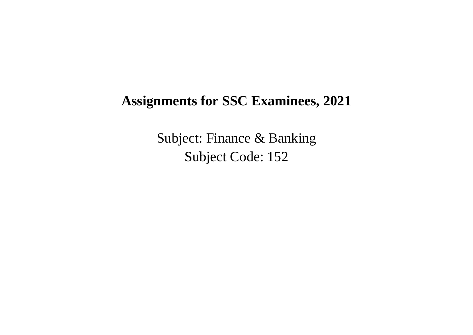Subject: Finance & Banking Subject Code: 152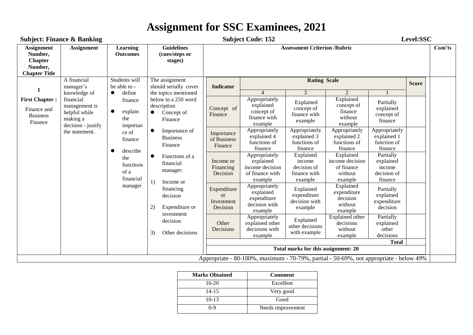|                                                                                   | <b>Subject: Finance &amp; Banking</b>                                                                                   |                                                                                                    |                                                                 |                                     | <b>Subject Code: 152</b>                                                               |                                                    |                                                          |                                                 | Level:SSC                                          |                                                                       |                                                      |                                                            |                                                                             |                                                               |                                                                  |                                                            |  |
|-----------------------------------------------------------------------------------|-------------------------------------------------------------------------------------------------------------------------|----------------------------------------------------------------------------------------------------|-----------------------------------------------------------------|-------------------------------------|----------------------------------------------------------------------------------------|----------------------------------------------------|----------------------------------------------------------|-------------------------------------------------|----------------------------------------------------|-----------------------------------------------------------------------|------------------------------------------------------|------------------------------------------------------------|-----------------------------------------------------------------------------|---------------------------------------------------------------|------------------------------------------------------------------|------------------------------------------------------------|--|
| <b>Assignment</b><br>Number,<br><b>Chapter</b><br>Number,<br><b>Chapter Title</b> | <b>Assignment</b>                                                                                                       | Learning<br><b>Outcomes</b>                                                                        | <b>Guidelines</b><br>(cues/steps or<br>stages)                  | <b>Assessment Criterion /Rubric</b> |                                                                                        |                                                    |                                                          |                                                 |                                                    | Com'ts                                                                |                                                      |                                                            |                                                                             |                                                               |                                                                  |                                                            |  |
| 1                                                                                 | A financial<br>manager's<br>knowledge of                                                                                | Students will<br>be able to -<br>define<br>$\bullet$                                               | The assignment<br>should serially cover<br>the topics mentioned | <b>Indicator</b>                    |                                                                                        | <b>Rating Scale</b><br>3                           | $\mathcal{L}$                                            |                                                 | <b>Score</b>                                       |                                                                       |                                                      |                                                            |                                                                             |                                                               |                                                                  |                                                            |  |
| <b>First Chapter:</b><br>Finance and<br><b>Business</b><br>Finance                | financial<br>finance<br>management is<br>explain<br>$\bullet$<br>helpful while<br>the<br>making a<br>decision - justify | importan<br>ce of<br>finance<br>describe<br>the<br>functions<br>of a<br>financial<br>manager<br>2) | below in a 250 word<br>description<br>Concept of<br>Finance     | Concept of<br>Finance               | Appropriately<br>explained<br>concept of<br>finance with<br>example                    | Explained<br>concept of<br>finance with<br>example | Explained<br>concept of<br>finance<br>without<br>example | Partially<br>explained<br>concept of<br>finance |                                                    |                                                                       |                                                      |                                                            |                                                                             |                                                               |                                                                  |                                                            |  |
|                                                                                   | the statement.                                                                                                          |                                                                                                    | 1)                                                              |                                     |                                                                                        |                                                    |                                                          |                                                 |                                                    | Importance of<br><b>Business</b><br>Finance                           | Importance<br>of Business<br>Finance                 | Appropriately<br>explained 4<br>functions of<br>finance    | Appropriately<br>explained 3<br>functions of<br>finance                     | Appropriately<br>explained 2<br>functions of<br>finance       | Appropriately<br>explained 1<br>function of<br>finance           |                                                            |  |
|                                                                                   |                                                                                                                         |                                                                                                    |                                                                 |                                     |                                                                                        |                                                    |                                                          |                                                 |                                                    |                                                                       | Functions of a<br>financial<br>manager:<br>Income or | Income or<br>Financing<br>Decision                         | Appropriately<br>explained<br>income decision<br>of finance with<br>example | Explained<br>income<br>decision of<br>finance with<br>example | Explained<br>income decision<br>of finance<br>without<br>example | Partially<br>explained<br>income<br>decision of<br>finance |  |
|                                                                                   |                                                                                                                         |                                                                                                    |                                                                 |                                     |                                                                                        |                                                    |                                                          | financing<br>decision<br>Expenditure or         | Expenditure<br><b>or</b><br>Investment<br>Decision | Appropriately<br>explained<br>expenditure<br>decision with<br>example | Explained<br>expenditure<br>decision with<br>example | Explained<br>expenditure<br>decision<br>without<br>example | Partially<br>explained<br>expenditure<br>decision                           |                                                               |                                                                  |                                                            |  |
|                                                                                   |                                                                                                                         |                                                                                                    | investment<br>decision<br>3)<br>Other decisions                 | Other<br>Decisions                  | Appropriately<br>explained other<br>decisions with<br>example                          | Explained<br>other decisions<br>with example       | Explained other<br>decisions<br>without<br>example       | Partially<br>explained<br>other<br>decisions    |                                                    |                                                                       |                                                      |                                                            |                                                                             |                                                               |                                                                  |                                                            |  |
|                                                                                   |                                                                                                                         |                                                                                                    |                                                                 |                                     |                                                                                        | Total marks for this assignment: 20                |                                                          | <b>Total</b>                                    |                                                    |                                                                       |                                                      |                                                            |                                                                             |                                                               |                                                                  |                                                            |  |
|                                                                                   |                                                                                                                         |                                                                                                    |                                                                 |                                     | Appropriate - 80-100%, maximum - 70-79%, partial - 50-69%, not appropriate - below 49% |                                                    |                                                          |                                                 |                                                    |                                                                       |                                                      |                                                            |                                                                             |                                                               |                                                                  |                                                            |  |

| <b>Marks Obtained</b> | <b>Comment</b>    |
|-----------------------|-------------------|
| $16-20$               | Excellent         |
| $14 - 15$             | Very good         |
| $10-13$               | Good              |
| 0-9                   | Needs improvement |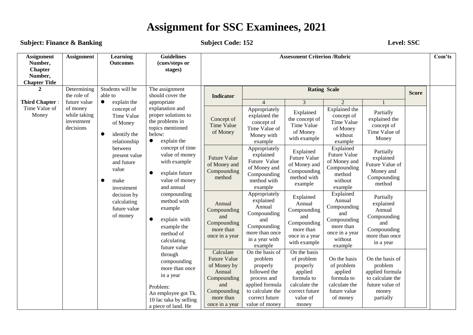**Subject: Finance & Banking Subject Code: 152 Level: SSC** 

| <b>Assignment</b><br>Number,<br><b>Chapter</b><br>Number,<br><b>Chapter Title</b>                                                                                                                                                                                                         | <b>Assignment</b>                                                                                                                                                                                                                                                                                                                             | Learning<br><b>Outcomes</b>                                                            | <b>Guidelines</b><br>(cues/steps or<br>stages)                                                                                            | <b>Assessment Criterion /Rubric</b>                                                                                           |                                                                                                                                                  |                                                                                                                         |                                                                                                      |                                                                                                            |                                                                                 | Com'ts |  |
|-------------------------------------------------------------------------------------------------------------------------------------------------------------------------------------------------------------------------------------------------------------------------------------------|-----------------------------------------------------------------------------------------------------------------------------------------------------------------------------------------------------------------------------------------------------------------------------------------------------------------------------------------------|----------------------------------------------------------------------------------------|-------------------------------------------------------------------------------------------------------------------------------------------|-------------------------------------------------------------------------------------------------------------------------------|--------------------------------------------------------------------------------------------------------------------------------------------------|-------------------------------------------------------------------------------------------------------------------------|------------------------------------------------------------------------------------------------------|------------------------------------------------------------------------------------------------------------|---------------------------------------------------------------------------------|--------|--|
| $\mathbf{2}$                                                                                                                                                                                                                                                                              | Determining<br>the role of                                                                                                                                                                                                                                                                                                                    | Students will be<br>able to                                                            | The assignment<br>should cover the                                                                                                        | <b>Indicator</b>                                                                                                              |                                                                                                                                                  |                                                                                                                         | <b>Rating Scale</b>                                                                                  |                                                                                                            | <b>Score</b>                                                                    |        |  |
| <b>Third Chapter:</b>                                                                                                                                                                                                                                                                     | future value                                                                                                                                                                                                                                                                                                                                  | explain the<br>$\bullet$                                                               | appropriate                                                                                                                               |                                                                                                                               | $\Delta$                                                                                                                                         | 3                                                                                                                       | 2                                                                                                    |                                                                                                            |                                                                                 |        |  |
| Time Value of<br>of money<br>explanation and<br>concept of<br>Money<br>while taking<br>proper solutions to<br>Time Value<br>the problems in<br>investment<br>of Money<br>decisions<br>topics mentioned<br>below:<br>$\bullet$<br>identify the<br>explain the<br>$\bullet$<br>relationship | Concept of<br><b>Time Value</b><br>of Money                                                                                                                                                                                                                                                                                                   | Appropriately<br>explained the<br>concept of<br>Time Value of<br>Money with<br>example | Explained<br>the concept of<br>Time Value<br>of Money<br>with example                                                                     | Explained the<br>concept of<br>Time Value<br>of Money<br>without<br>example                                                   | Partially<br>explained the<br>concept of<br>Time Value of<br>Money                                                                               |                                                                                                                         |                                                                                                      |                                                                                                            |                                                                                 |        |  |
|                                                                                                                                                                                                                                                                                           | concept of time<br>between<br>present value<br>with example<br>and future<br>value<br>$\bullet$<br>explain future<br>$\bullet$<br>make<br>and annual<br>investment<br>compounding<br>decision by<br>method with<br>calculating<br>example<br>future value<br>of money<br>explain with<br>$\bullet$<br>example the<br>method of<br>calculating |                                                                                        |                                                                                                                                           | value of money<br>value of money                                                                                              | <b>Future Value</b><br>of Money and<br>Compounding<br>method                                                                                     | Appropriately<br>explained<br>Future Value<br>of Money and<br>Compounding<br>method with<br>example                     | Explained<br>Future Value<br>of Money and<br>Compounding<br>method with<br>example                   | Explained<br>Future Value<br>of Money and<br>Compounding<br>method<br>without<br>example                   | Partially<br>explained<br>Future Value of<br>Money and<br>Compounding<br>method |        |  |
|                                                                                                                                                                                                                                                                                           |                                                                                                                                                                                                                                                                                                                                               | future value                                                                           | Annual<br>Compounding<br>and<br>Compounding<br>more than<br>once in a year                                                                | Appropriately<br>explained<br>Annual<br>Compounding<br>and<br>Compounding<br>more than once<br>in a year with<br>example      | Explained<br>Annual<br>Compounding<br>and<br>Compounding<br>more than<br>once in a year<br>with example                                          | Explained<br>Annual<br>Compounding<br>and<br>Compounding<br>more than<br>once in a year<br>without<br>example           | Partially<br>explained<br>Annual<br>Compounding<br>and<br>Compounding<br>more than once<br>in a year |                                                                                                            |                                                                                 |        |  |
|                                                                                                                                                                                                                                                                                           |                                                                                                                                                                                                                                                                                                                                               |                                                                                        | through<br>compounding<br>more than once<br>in a year<br>Problem:<br>An employee got Tk.<br>10 lac taka by selling<br>a piece of land. He | Calculate<br><b>Future Value</b><br>of Money by<br>Annual<br>Compounding<br>and<br>Compounding<br>more than<br>once in a year | On the basis of<br>problem<br>properly<br>followed the<br>process and<br>applied formula<br>to calculate the<br>correct future<br>value of money | On the basis<br>of problem<br>properly<br>applied<br>formula to<br>calculate the<br>correct future<br>value of<br>money | On the basis<br>of problem<br>applied<br>formula to<br>calculate the<br>future value<br>of money     | On the basis of<br>problem<br>applied formula<br>to calculate the<br>future value of<br>money<br>partially |                                                                                 |        |  |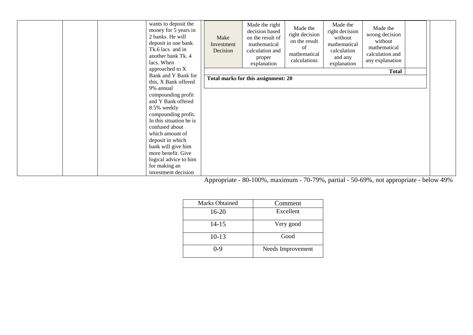| wants to deposit the<br>money for 5 years in<br>2 banks. He will<br>deposit in one bank<br>Tk.6 lacs and in<br>another bank Tk. 4<br>lacs. When<br>approached to X | Make<br>Investment<br>Decision | Made the right<br>decision based<br>on the result of<br>mathematical<br>calculation and<br>proper<br>explanation | Made the<br>right decision<br>on the result<br>of<br>mathematical<br>calculations | Made the<br>right decision<br>without<br>mathematical<br>calculation<br>and any<br>explanation | Made the<br>wrong decision<br>without<br>mathematical<br>calculation and<br>any explanation |  |
|--------------------------------------------------------------------------------------------------------------------------------------------------------------------|--------------------------------|------------------------------------------------------------------------------------------------------------------|-----------------------------------------------------------------------------------|------------------------------------------------------------------------------------------------|---------------------------------------------------------------------------------------------|--|
| Bank and Y Bank for                                                                                                                                                |                                |                                                                                                                  |                                                                                   |                                                                                                | <b>Total</b>                                                                                |  |
| this, X Bank offered                                                                                                                                               |                                | Total marks for this assignment: 20                                                                              |                                                                                   |                                                                                                |                                                                                             |  |
| 9% annual                                                                                                                                                          |                                |                                                                                                                  |                                                                                   |                                                                                                |                                                                                             |  |
| compounding profit                                                                                                                                                 |                                |                                                                                                                  |                                                                                   |                                                                                                |                                                                                             |  |
| and Y Bank offered                                                                                                                                                 |                                |                                                                                                                  |                                                                                   |                                                                                                |                                                                                             |  |
| 8.5% weekly                                                                                                                                                        |                                |                                                                                                                  |                                                                                   |                                                                                                |                                                                                             |  |
| compounding profit.                                                                                                                                                |                                |                                                                                                                  |                                                                                   |                                                                                                |                                                                                             |  |
| In this situation he is                                                                                                                                            |                                |                                                                                                                  |                                                                                   |                                                                                                |                                                                                             |  |
| confused about                                                                                                                                                     |                                |                                                                                                                  |                                                                                   |                                                                                                |                                                                                             |  |
| which amount of                                                                                                                                                    |                                |                                                                                                                  |                                                                                   |                                                                                                |                                                                                             |  |
| deposit in which                                                                                                                                                   |                                |                                                                                                                  |                                                                                   |                                                                                                |                                                                                             |  |
| bank will give him                                                                                                                                                 |                                |                                                                                                                  |                                                                                   |                                                                                                |                                                                                             |  |
| more benefit. Give                                                                                                                                                 |                                |                                                                                                                  |                                                                                   |                                                                                                |                                                                                             |  |
| logical advice to him                                                                                                                                              |                                |                                                                                                                  |                                                                                   |                                                                                                |                                                                                             |  |
| for making an                                                                                                                                                      |                                |                                                                                                                  |                                                                                   |                                                                                                |                                                                                             |  |
| investment decision                                                                                                                                                |                                |                                                                                                                  |                                                                                   |                                                                                                |                                                                                             |  |

Appropriate - 80-100%, maximum - 70-79%, partial - 50-69%, not appropriate - below 49%

| <b>Marks Obtained</b> | Comment           |  |  |  |  |
|-----------------------|-------------------|--|--|--|--|
| 16-20                 | Excellent         |  |  |  |  |
| $14 - 15$             | Very good         |  |  |  |  |
| $10-13$               | Good              |  |  |  |  |
| 0-9                   | Needs Improvement |  |  |  |  |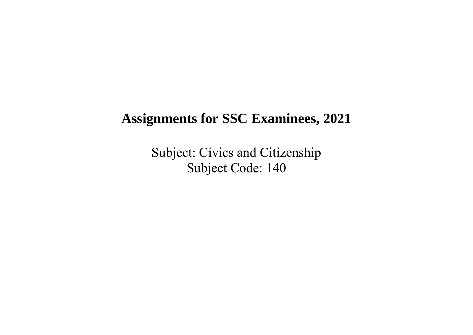Subject: Civics and Citizenship Subject Code: 140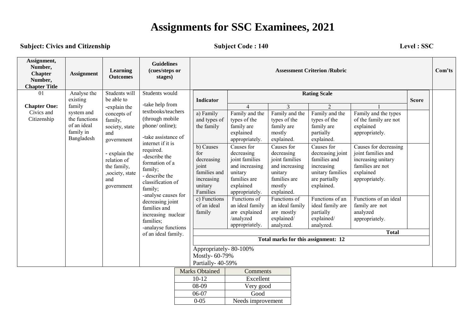**Subject: Civics and Citizenship by Subject Code : 140** Level : SSC

| Assignment,<br>Number,<br><b>Chapter</b><br>Number,<br><b>Chapter Title</b> | <b>Assignment</b>                                                                                                                                                                                                                                                                 | Learning<br><b>Outcomes</b>                                                                                                                                                                                                                                                                                                                                                       | <b>Guidelines</b><br>(cues/steps or<br>stages) |                                                                                                                                                                                         | <b>Assessment Criterion /Rubric</b>                                                                                                                                                                                                                                                                        |                                                                                                                                                                                                                                                                                                                 |                                                                                                                                                                                                                                                                                             |                                                                                                                                                                                                                                                                                               |                                                            |  | Com'ts |  |  |  |  |
|-----------------------------------------------------------------------------|-----------------------------------------------------------------------------------------------------------------------------------------------------------------------------------------------------------------------------------------------------------------------------------|-----------------------------------------------------------------------------------------------------------------------------------------------------------------------------------------------------------------------------------------------------------------------------------------------------------------------------------------------------------------------------------|------------------------------------------------|-----------------------------------------------------------------------------------------------------------------------------------------------------------------------------------------|------------------------------------------------------------------------------------------------------------------------------------------------------------------------------------------------------------------------------------------------------------------------------------------------------------|-----------------------------------------------------------------------------------------------------------------------------------------------------------------------------------------------------------------------------------------------------------------------------------------------------------------|---------------------------------------------------------------------------------------------------------------------------------------------------------------------------------------------------------------------------------------------------------------------------------------------|-----------------------------------------------------------------------------------------------------------------------------------------------------------------------------------------------------------------------------------------------------------------------------------------------|------------------------------------------------------------|--|--------|--|--|--|--|
| 01                                                                          | Analyse the                                                                                                                                                                                                                                                                       | Students will                                                                                                                                                                                                                                                                                                                                                                     | Students would                                 |                                                                                                                                                                                         | Indicator                                                                                                                                                                                                                                                                                                  |                                                                                                                                                                                                                                                                                                                 |                                                                                                                                                                                                                                                                                             | <b>Rating Scale</b><br><b>Score</b>                                                                                                                                                                                                                                                           |                                                            |  |        |  |  |  |  |
| <b>Chapter One:</b><br>Civics and<br>Citizenship                            | existing<br>be able to<br>family<br>-explain the<br>system and<br>concepts of<br>the functions<br>family,<br>of an ideal<br>society, state<br>family in<br>and<br>Bangladesh<br>government<br>- explain the<br>relation of<br>the family,<br>,society, state<br>and<br>government | -take help from<br>textbooks/teachers<br>(through mobile)<br>phone/ online);<br>-take assistance of<br>internet if it is<br>required.<br>-describe the<br>formation of a<br>family;<br>- describe the<br>classification of<br>family;<br>-analyse causes for<br>decreasing joint<br>families and<br>increasing nuclear<br>families;<br>-analayse functions<br>of an ideal family. | for                                            | a) Family<br>and types of<br>the family<br>$\overline{b}$ ) Causes<br>decreasing<br>joint<br>families and<br>increasing<br>unitary<br>Families<br>c) Functions<br>of an ideal<br>family | $\overline{4}$<br>Family and the<br>types of the<br>family are<br>explained<br>appropriately.<br>Causes for<br>decreasing<br>joint families<br>and increasing<br>unitary<br>families are<br>explained<br>appropriately.<br>Functions of<br>an ideal family<br>are explained<br>/analyzed<br>appropriately. | 3<br>Family and the<br>types of the<br>family are<br>mostly<br>explained.<br>Causes for<br>decreasing<br>joint families<br>and increasing<br>unitary<br>families are<br>mostly<br>explained.<br>Functions of<br>an ideal family<br>are mostly<br>explained/<br>analyzed.<br>Total marks for this assignment: 12 | $\overline{2}$<br>Family and the<br>types of the<br>family are<br>partially<br>explained.<br>Causes for<br>decreasing joint<br>families and<br>increasing<br>unitary families<br>are partially<br>explained.<br>Functions of an<br>ideal family are<br>partially<br>explained/<br>analyzed. | Family and the types<br>of the family are not<br>explained<br>appropriately.<br>Causes for decreasing<br>joint families and<br>increasing unitary<br>families are not<br>explained<br>appropriately.<br>Functions of an ideal<br>family are not<br>analyzed<br>appropriately.<br><b>Total</b> |                                                            |  |        |  |  |  |  |
|                                                                             |                                                                                                                                                                                                                                                                                   |                                                                                                                                                                                                                                                                                                                                                                                   |                                                |                                                                                                                                                                                         |                                                                                                                                                                                                                                                                                                            |                                                                                                                                                                                                                                                                                                                 |                                                                                                                                                                                                                                                                                             |                                                                                                                                                                                                                                                                                               | Appropriately-80-100%<br>Mostly-60-79%<br>Partially-40-59% |  |        |  |  |  |  |
|                                                                             |                                                                                                                                                                                                                                                                                   |                                                                                                                                                                                                                                                                                                                                                                                   |                                                |                                                                                                                                                                                         | <b>Marks Obtained</b>                                                                                                                                                                                                                                                                                      | Comments                                                                                                                                                                                                                                                                                                        |                                                                                                                                                                                                                                                                                             |                                                                                                                                                                                                                                                                                               |                                                            |  |        |  |  |  |  |
|                                                                             |                                                                                                                                                                                                                                                                                   |                                                                                                                                                                                                                                                                                                                                                                                   |                                                |                                                                                                                                                                                         | $10-12$                                                                                                                                                                                                                                                                                                    | Excellent                                                                                                                                                                                                                                                                                                       |                                                                                                                                                                                                                                                                                             |                                                                                                                                                                                                                                                                                               |                                                            |  |        |  |  |  |  |
|                                                                             |                                                                                                                                                                                                                                                                                   |                                                                                                                                                                                                                                                                                                                                                                                   |                                                |                                                                                                                                                                                         | 08-09                                                                                                                                                                                                                                                                                                      | Very good                                                                                                                                                                                                                                                                                                       |                                                                                                                                                                                                                                                                                             |                                                                                                                                                                                                                                                                                               |                                                            |  |        |  |  |  |  |
|                                                                             |                                                                                                                                                                                                                                                                                   |                                                                                                                                                                                                                                                                                                                                                                                   |                                                |                                                                                                                                                                                         | 06-07                                                                                                                                                                                                                                                                                                      | Good                                                                                                                                                                                                                                                                                                            |                                                                                                                                                                                                                                                                                             |                                                                                                                                                                                                                                                                                               |                                                            |  |        |  |  |  |  |
|                                                                             |                                                                                                                                                                                                                                                                                   |                                                                                                                                                                                                                                                                                                                                                                                   |                                                |                                                                                                                                                                                         | $0 - 05$                                                                                                                                                                                                                                                                                                   | Needs improvement                                                                                                                                                                                                                                                                                               |                                                                                                                                                                                                                                                                                             |                                                                                                                                                                                                                                                                                               |                                                            |  |        |  |  |  |  |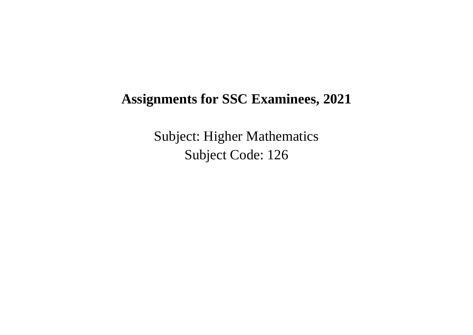Subject: Higher Mathematics Subject Code: 126